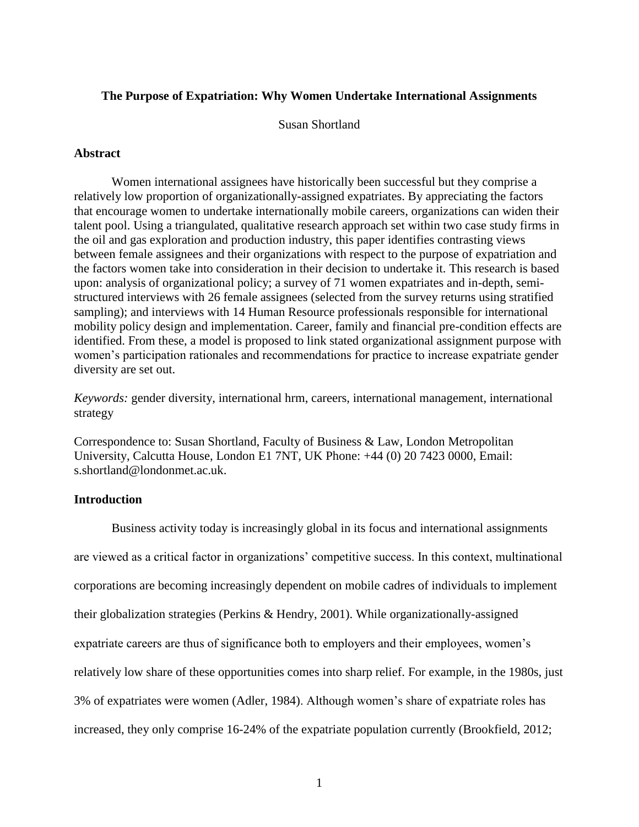## **The Purpose of Expatriation: Why Women Undertake International Assignments**

Susan Shortland

### **Abstract**

Women international assignees have historically been successful but they comprise a relatively low proportion of organizationally-assigned expatriates. By appreciating the factors that encourage women to undertake internationally mobile careers, organizations can widen their talent pool. Using a triangulated, qualitative research approach set within two case study firms in the oil and gas exploration and production industry, this paper identifies contrasting views between female assignees and their organizations with respect to the purpose of expatriation and the factors women take into consideration in their decision to undertake it. This research is based upon: analysis of organizational policy; a survey of 71 women expatriates and in-depth, semistructured interviews with 26 female assignees (selected from the survey returns using stratified sampling); and interviews with 14 Human Resource professionals responsible for international mobility policy design and implementation. Career, family and financial pre-condition effects are identified. From these, a model is proposed to link stated organizational assignment purpose with women's participation rationales and recommendations for practice to increase expatriate gender diversity are set out.

*Keywords:* gender diversity, international hrm, careers, international management, international strategy

Correspondence to: Susan Shortland, Faculty of Business & Law, London Metropolitan University, Calcutta House, London E1 7NT, UK Phone: +44 (0) 20 7423 0000, Email: s.shortland@londonmet.ac.uk.

## **Introduction**

Business activity today is increasingly global in its focus and international assignments are viewed as a critical factor in organizations' competitive success. In this context, multinational corporations are becoming increasingly dependent on mobile cadres of individuals to implement their globalization strategies (Perkins & Hendry, 2001). While organizationally-assigned expatriate careers are thus of significance both to employers and their employees, women's relatively low share of these opportunities comes into sharp relief. For example, in the 1980s, just 3% of expatriates were women (Adler, 1984). Although women's share of expatriate roles has increased, they only comprise 16-24% of the expatriate population currently (Brookfield, 2012;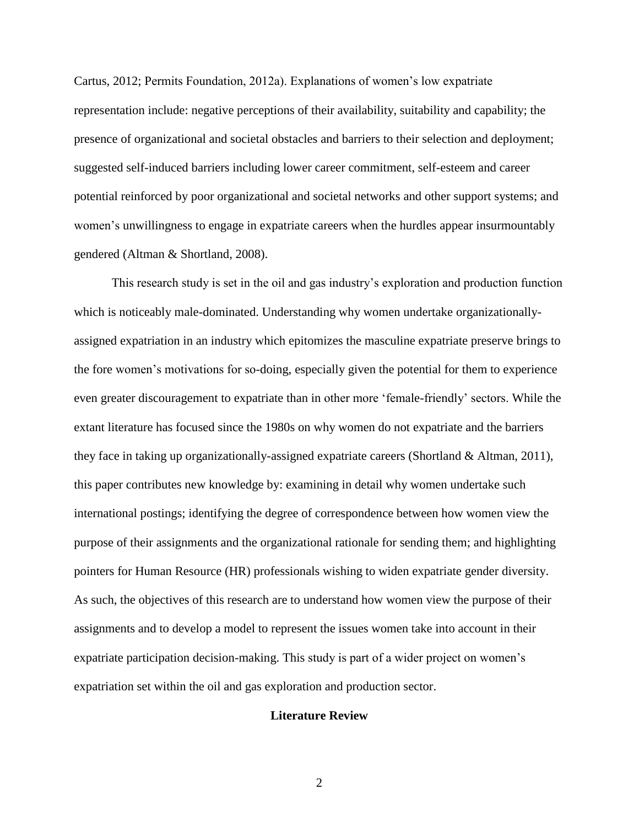Cartus, 2012; Permits Foundation, 2012a). Explanations of women's low expatriate representation include: negative perceptions of their availability, suitability and capability; the presence of organizational and societal obstacles and barriers to their selection and deployment; suggested self-induced barriers including lower career commitment, self-esteem and career potential reinforced by poor organizational and societal networks and other support systems; and women's unwillingness to engage in expatriate careers when the hurdles appear insurmountably gendered (Altman & Shortland, 2008).

This research study is set in the oil and gas industry's exploration and production function which is noticeably male-dominated. Understanding why women undertake organizationallyassigned expatriation in an industry which epitomizes the masculine expatriate preserve brings to the fore women's motivations for so-doing, especially given the potential for them to experience even greater discouragement to expatriate than in other more 'female-friendly' sectors. While the extant literature has focused since the 1980s on why women do not expatriate and the barriers they face in taking up organizationally-assigned expatriate careers (Shortland & Altman, 2011), this paper contributes new knowledge by: examining in detail why women undertake such international postings; identifying the degree of correspondence between how women view the purpose of their assignments and the organizational rationale for sending them; and highlighting pointers for Human Resource (HR) professionals wishing to widen expatriate gender diversity. As such, the objectives of this research are to understand how women view the purpose of their assignments and to develop a model to represent the issues women take into account in their expatriate participation decision-making. This study is part of a wider project on women's expatriation set within the oil and gas exploration and production sector.

#### **Literature Review**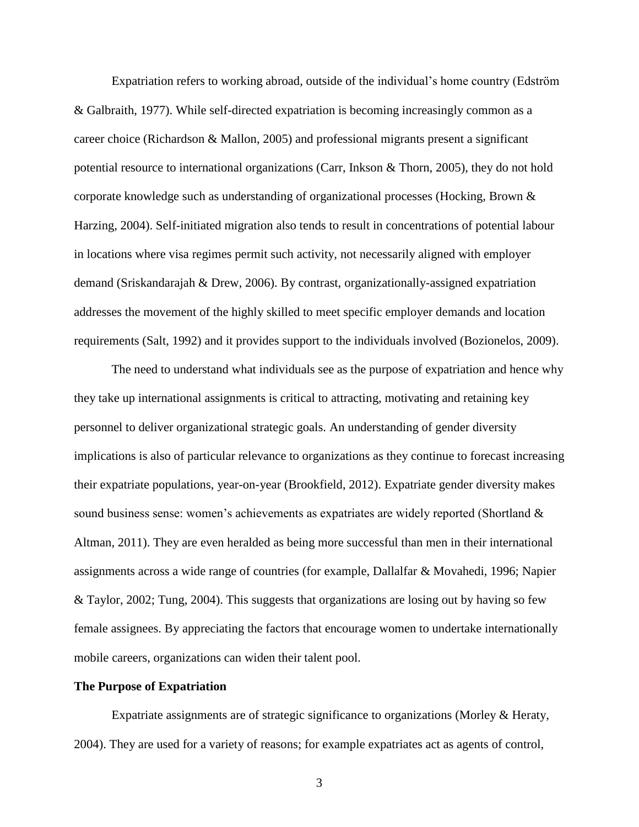Expatriation refers to working abroad, outside of the individual's home country (Edström & Galbraith, 1977). While self-directed expatriation is becoming increasingly common as a career choice (Richardson & Mallon, 2005) and professional migrants present a significant potential resource to international organizations (Carr, Inkson & Thorn, 2005), they do not hold corporate knowledge such as understanding of organizational processes (Hocking, Brown & Harzing, 2004). Self-initiated migration also tends to result in concentrations of potential labour in locations where visa regimes permit such activity, not necessarily aligned with employer demand (Sriskandarajah & Drew, 2006). By contrast, organizationally-assigned expatriation addresses the movement of the highly skilled to meet specific employer demands and location requirements (Salt, 1992) and it provides support to the individuals involved (Bozionelos, 2009).

The need to understand what individuals see as the purpose of expatriation and hence why they take up international assignments is critical to attracting, motivating and retaining key personnel to deliver organizational strategic goals. An understanding of gender diversity implications is also of particular relevance to organizations as they continue to forecast increasing their expatriate populations, year-on-year (Brookfield, 2012). Expatriate gender diversity makes sound business sense: women's achievements as expatriates are widely reported (Shortland & Altman, 2011). They are even heralded as being more successful than men in their international assignments across a wide range of countries (for example, Dallalfar & Movahedi, 1996; Napier & Taylor, 2002; Tung, 2004). This suggests that organizations are losing out by having so few female assignees. By appreciating the factors that encourage women to undertake internationally mobile careers, organizations can widen their talent pool.

#### **The Purpose of Expatriation**

Expatriate assignments are of strategic significance to organizations (Morley & Heraty, 2004). They are used for a variety of reasons; for example expatriates act as agents of control,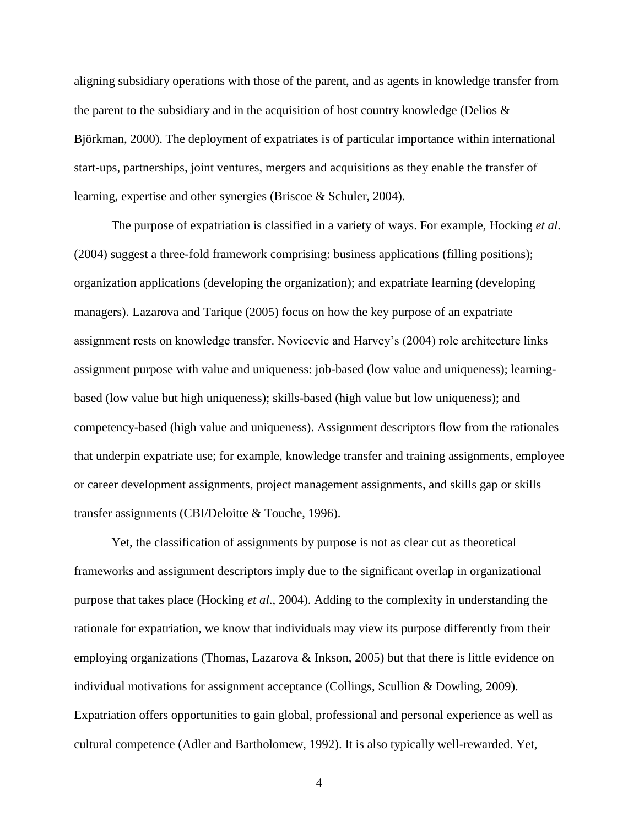aligning subsidiary operations with those of the parent, and as agents in knowledge transfer from the parent to the subsidiary and in the acquisition of host country knowledge (Delios  $\&$ Björkman, 2000). The deployment of expatriates is of particular importance within international start-ups, partnerships, joint ventures, mergers and acquisitions as they enable the transfer of learning, expertise and other synergies (Briscoe & Schuler, 2004).

The purpose of expatriation is classified in a variety of ways. For example, Hocking *et al*. (2004) suggest a three-fold framework comprising: business applications (filling positions); organization applications (developing the organization); and expatriate learning (developing managers). Lazarova and Tarique (2005) focus on how the key purpose of an expatriate assignment rests on knowledge transfer. Novicevic and Harvey's (2004) role architecture links assignment purpose with value and uniqueness: job-based (low value and uniqueness); learningbased (low value but high uniqueness); skills-based (high value but low uniqueness); and competency-based (high value and uniqueness). Assignment descriptors flow from the rationales that underpin expatriate use; for example, knowledge transfer and training assignments, employee or career development assignments, project management assignments, and skills gap or skills transfer assignments (CBI/Deloitte & Touche, 1996).

Yet, the classification of assignments by purpose is not as clear cut as theoretical frameworks and assignment descriptors imply due to the significant overlap in organizational purpose that takes place (Hocking *et al*., 2004). Adding to the complexity in understanding the rationale for expatriation, we know that individuals may view its purpose differently from their employing organizations (Thomas, Lazarova & Inkson, 2005) but that there is little evidence on individual motivations for assignment acceptance (Collings, Scullion & Dowling, 2009). Expatriation offers opportunities to gain global, professional and personal experience as well as cultural competence (Adler and Bartholomew, 1992). It is also typically well-rewarded. Yet,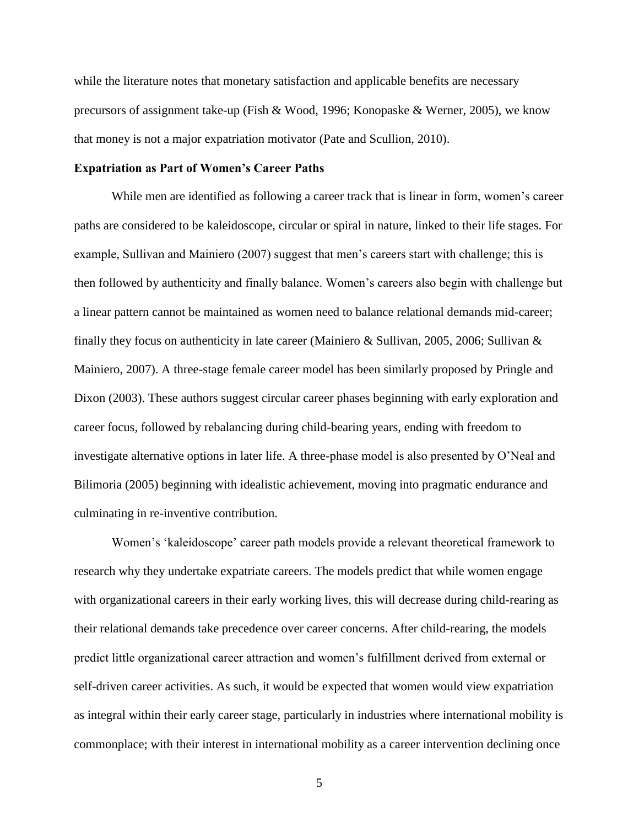while the literature notes that monetary satisfaction and applicable benefits are necessary precursors of assignment take-up (Fish & Wood, 1996; Konopaske & Werner, 2005), we know that money is not a major expatriation motivator (Pate and Scullion, 2010).

### **Expatriation as Part of Women's Career Paths**

While men are identified as following a career track that is linear in form, women's career paths are considered to be kaleidoscope, circular or spiral in nature, linked to their life stages. For example, Sullivan and Mainiero (2007) suggest that men's careers start with challenge; this is then followed by authenticity and finally balance. Women's careers also begin with challenge but a linear pattern cannot be maintained as women need to balance relational demands mid-career; finally they focus on authenticity in late career (Mainiero & Sullivan, 2005, 2006; Sullivan & Mainiero, 2007). A three-stage female career model has been similarly proposed by Pringle and Dixon (2003). These authors suggest circular career phases beginning with early exploration and career focus, followed by rebalancing during child-bearing years, ending with freedom to investigate alternative options in later life. A three-phase model is also presented by O'Neal and Bilimoria (2005) beginning with idealistic achievement, moving into pragmatic endurance and culminating in re-inventive contribution.

Women's 'kaleidoscope' career path models provide a relevant theoretical framework to research why they undertake expatriate careers. The models predict that while women engage with organizational careers in their early working lives, this will decrease during child-rearing as their relational demands take precedence over career concerns. After child-rearing, the models predict little organizational career attraction and women's fulfillment derived from external or self-driven career activities. As such, it would be expected that women would view expatriation as integral within their early career stage, particularly in industries where international mobility is commonplace; with their interest in international mobility as a career intervention declining once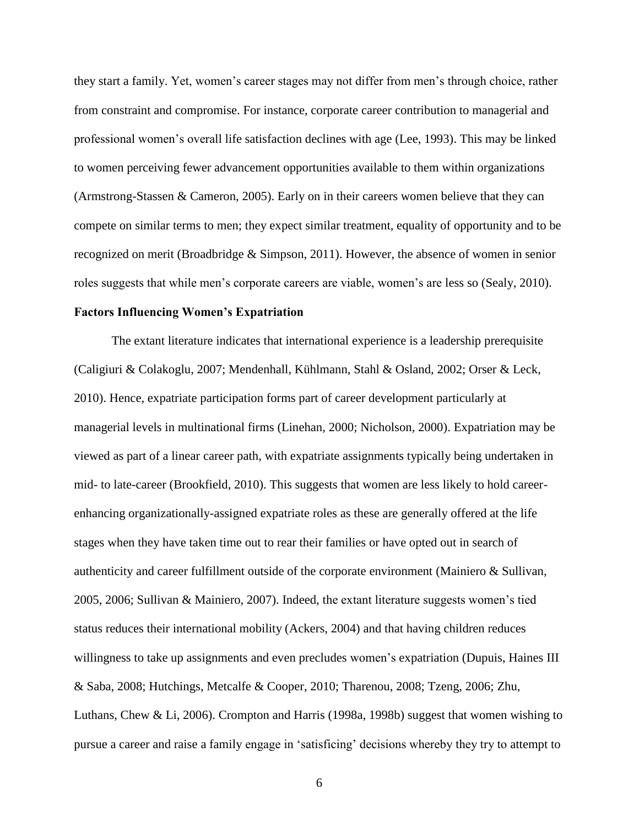they start a family. Yet, women's career stages may not differ from men's through choice, rather from constraint and compromise. For instance, corporate career contribution to managerial and professional women's overall life satisfaction declines with age (Lee, 1993). This may be linked to women perceiving fewer advancement opportunities available to them within organizations (Armstrong-Stassen & Cameron, 2005). Early on in their careers women believe that they can compete on similar terms to men; they expect similar treatment, equality of opportunity and to be recognized on merit (Broadbridge & Simpson, 2011). However, the absence of women in senior roles suggests that while men's corporate careers are viable, women's are less so (Sealy, 2010).

## **Factors Influencing Women's Expatriation**

The extant literature indicates that international experience is a leadership prerequisite (Caligiuri & Colakoglu, 2007; Mendenhall, Kühlmann, Stahl & Osland, 2002; Orser & Leck, 2010). Hence, expatriate participation forms part of career development particularly at managerial levels in multinational firms (Linehan, 2000; Nicholson, 2000). Expatriation may be viewed as part of a linear career path, with expatriate assignments typically being undertaken in mid- to late-career (Brookfield, 2010). This suggests that women are less likely to hold careerenhancing organizationally-assigned expatriate roles as these are generally offered at the life stages when they have taken time out to rear their families or have opted out in search of authenticity and career fulfillment outside of the corporate environment (Mainiero & Sullivan, 2005, 2006; Sullivan & Mainiero, 2007). Indeed, the extant literature suggests women's tied status reduces their international mobility (Ackers, 2004) and that having children reduces willingness to take up assignments and even precludes women's expatriation (Dupuis, Haines III & Saba, 2008; Hutchings, Metcalfe & Cooper, 2010; Tharenou, 2008; Tzeng, 2006; Zhu, Luthans, Chew & Li, 2006). Crompton and Harris (1998a, 1998b) suggest that women wishing to pursue a career and raise a family engage in 'satisficing' decisions whereby they try to attempt to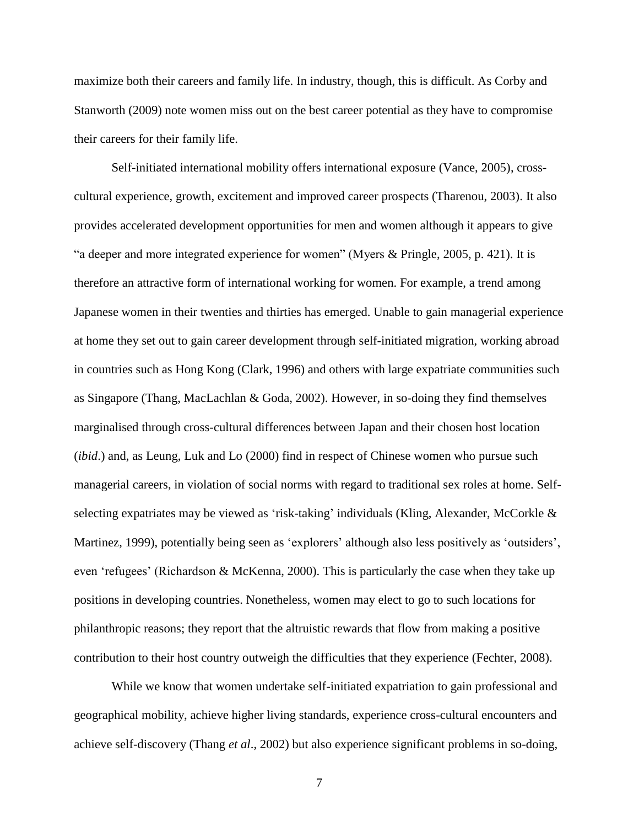maximize both their careers and family life. In industry, though, this is difficult. As Corby and Stanworth (2009) note women miss out on the best career potential as they have to compromise their careers for their family life.

Self-initiated international mobility offers international exposure (Vance, 2005), crosscultural experience, growth, excitement and improved career prospects (Tharenou, 2003). It also provides accelerated development opportunities for men and women although it appears to give "a deeper and more integrated experience for women" (Myers & Pringle, 2005, p. 421). It is therefore an attractive form of international working for women. For example, a trend among Japanese women in their twenties and thirties has emerged. Unable to gain managerial experience at home they set out to gain career development through self-initiated migration, working abroad in countries such as Hong Kong (Clark, 1996) and others with large expatriate communities such as Singapore (Thang, MacLachlan & Goda, 2002). However, in so-doing they find themselves marginalised through cross-cultural differences between Japan and their chosen host location (*ibid*.) and, as Leung, Luk and Lo (2000) find in respect of Chinese women who pursue such managerial careers, in violation of social norms with regard to traditional sex roles at home. Selfselecting expatriates may be viewed as 'risk-taking' individuals (Kling, Alexander, McCorkle & Martinez, 1999), potentially being seen as 'explorers' although also less positively as 'outsiders', even 'refugees' (Richardson & McKenna, 2000). This is particularly the case when they take up positions in developing countries. Nonetheless, women may elect to go to such locations for philanthropic reasons; they report that the altruistic rewards that flow from making a positive contribution to their host country outweigh the difficulties that they experience (Fechter, 2008).

While we know that women undertake self-initiated expatriation to gain professional and geographical mobility, achieve higher living standards, experience cross-cultural encounters and achieve self-discovery (Thang *et al*., 2002) but also experience significant problems in so-doing,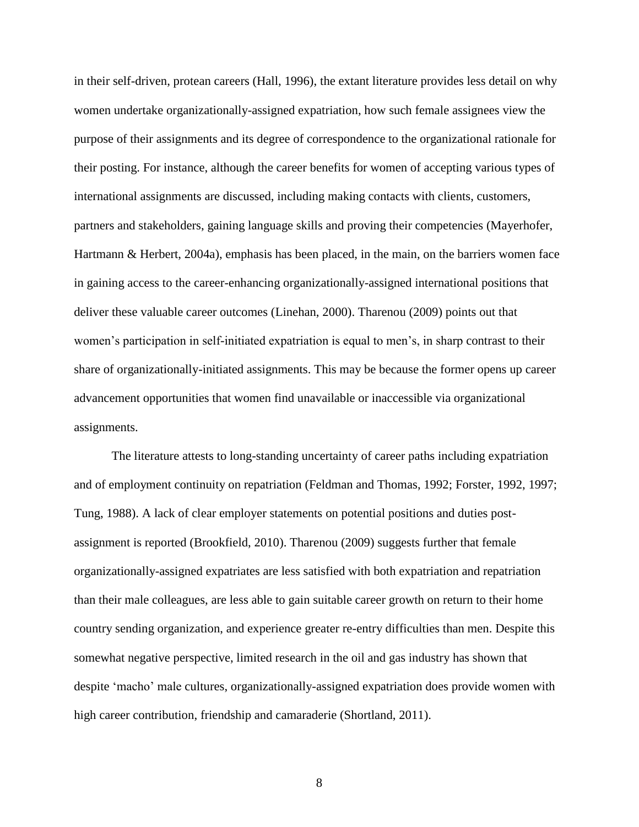in their self-driven, protean careers (Hall, 1996), the extant literature provides less detail on why women undertake organizationally-assigned expatriation, how such female assignees view the purpose of their assignments and its degree of correspondence to the organizational rationale for their posting. For instance, although the career benefits for women of accepting various types of international assignments are discussed, including making contacts with clients, customers, partners and stakeholders, gaining language skills and proving their competencies (Mayerhofer, Hartmann & Herbert, 2004a), emphasis has been placed, in the main, on the barriers women face in gaining access to the career-enhancing organizationally-assigned international positions that deliver these valuable career outcomes (Linehan, 2000). Tharenou (2009) points out that women's participation in self-initiated expatriation is equal to men's, in sharp contrast to their share of organizationally-initiated assignments. This may be because the former opens up career advancement opportunities that women find unavailable or inaccessible via organizational assignments.

The literature attests to long-standing uncertainty of career paths including expatriation and of employment continuity on repatriation (Feldman and Thomas, 1992; Forster, 1992, 1997; Tung, 1988). A lack of clear employer statements on potential positions and duties postassignment is reported (Brookfield, 2010). Tharenou (2009) suggests further that female organizationally-assigned expatriates are less satisfied with both expatriation and repatriation than their male colleagues, are less able to gain suitable career growth on return to their home country sending organization, and experience greater re-entry difficulties than men. Despite this somewhat negative perspective, limited research in the oil and gas industry has shown that despite 'macho' male cultures, organizationally-assigned expatriation does provide women with high career contribution, friendship and camaraderie (Shortland, 2011).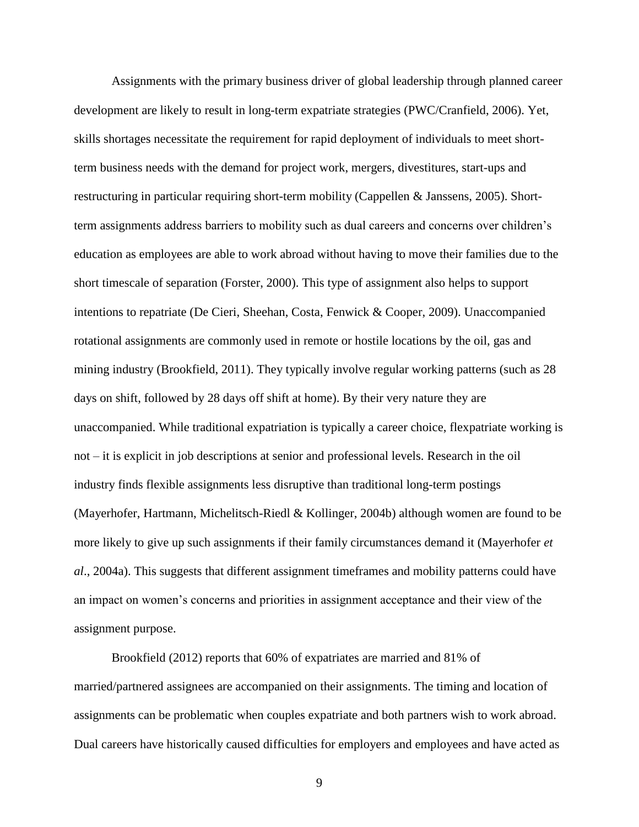Assignments with the primary business driver of global leadership through planned career development are likely to result in long-term expatriate strategies (PWC/Cranfield, 2006). Yet, skills shortages necessitate the requirement for rapid deployment of individuals to meet shortterm business needs with the demand for project work, mergers, divestitures, start-ups and restructuring in particular requiring short-term mobility (Cappellen & Janssens, 2005). Shortterm assignments address barriers to mobility such as dual careers and concerns over children's education as employees are able to work abroad without having to move their families due to the short timescale of separation (Forster, 2000). This type of assignment also helps to support intentions to repatriate (De Cieri, Sheehan, Costa, Fenwick & Cooper, 2009). Unaccompanied rotational assignments are commonly used in remote or hostile locations by the oil, gas and mining industry (Brookfield, 2011). They typically involve regular working patterns (such as 28 days on shift, followed by 28 days off shift at home). By their very nature they are unaccompanied. While traditional expatriation is typically a career choice, flexpatriate working is not – it is explicit in job descriptions at senior and professional levels. Research in the oil industry finds flexible assignments less disruptive than traditional long-term postings (Mayerhofer, Hartmann, Michelitsch-Riedl & Kollinger, 2004b) although women are found to be more likely to give up such assignments if their family circumstances demand it (Mayerhofer *et al*., 2004a). This suggests that different assignment timeframes and mobility patterns could have an impact on women's concerns and priorities in assignment acceptance and their view of the assignment purpose.

Brookfield (2012) reports that 60% of expatriates are married and 81% of married/partnered assignees are accompanied on their assignments. The timing and location of assignments can be problematic when couples expatriate and both partners wish to work abroad. Dual careers have historically caused difficulties for employers and employees and have acted as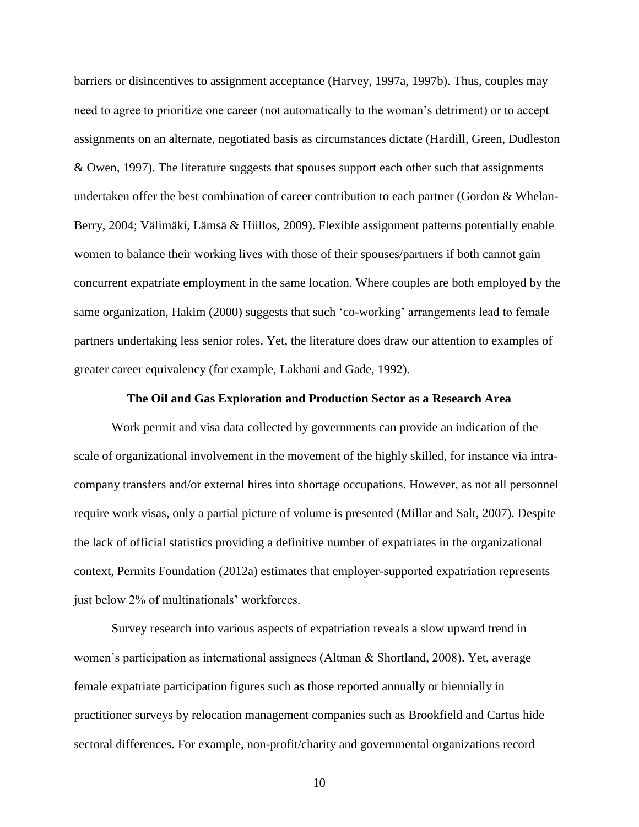barriers or disincentives to assignment acceptance (Harvey, 1997a, 1997b). Thus, couples may need to agree to prioritize one career (not automatically to the woman's detriment) or to accept assignments on an alternate, negotiated basis as circumstances dictate (Hardill, Green, Dudleston & Owen, 1997). The literature suggests that spouses support each other such that assignments undertaken offer the best combination of career contribution to each partner (Gordon & Whelan-Berry, 2004; Välimäki, Lämsä & Hiillos, 2009). Flexible assignment patterns potentially enable women to balance their working lives with those of their spouses/partners if both cannot gain concurrent expatriate employment in the same location. Where couples are both employed by the same organization, Hakim (2000) suggests that such 'co-working' arrangements lead to female partners undertaking less senior roles. Yet, the literature does draw our attention to examples of greater career equivalency (for example, Lakhani and Gade, 1992).

## **The Oil and Gas Exploration and Production Sector as a Research Area**

Work permit and visa data collected by governments can provide an indication of the scale of organizational involvement in the movement of the highly skilled, for instance via intracompany transfers and/or external hires into shortage occupations. However, as not all personnel require work visas, only a partial picture of volume is presented (Millar and Salt, 2007). Despite the lack of official statistics providing a definitive number of expatriates in the organizational context, Permits Foundation (2012a) estimates that employer-supported expatriation represents just below 2% of multinationals' workforces.

Survey research into various aspects of expatriation reveals a slow upward trend in women's participation as international assignees (Altman & Shortland, 2008). Yet, average female expatriate participation figures such as those reported annually or biennially in practitioner surveys by relocation management companies such as Brookfield and Cartus hide sectoral differences. For example, non-profit/charity and governmental organizations record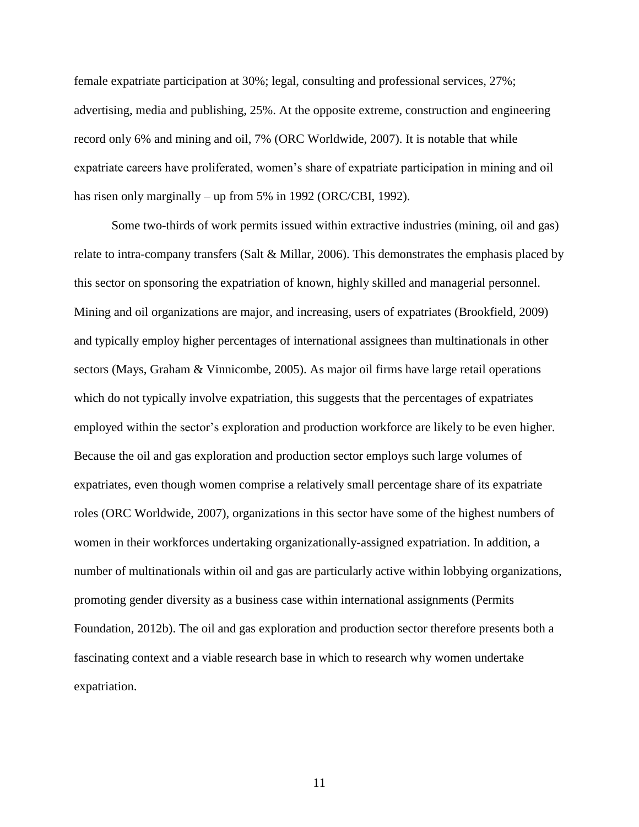female expatriate participation at 30%; legal, consulting and professional services, 27%; advertising, media and publishing, 25%. At the opposite extreme, construction and engineering record only 6% and mining and oil, 7% (ORC Worldwide, 2007). It is notable that while expatriate careers have proliferated, women's share of expatriate participation in mining and oil has risen only marginally – up from 5% in 1992 (ORC/CBI, 1992).

Some two-thirds of work permits issued within extractive industries (mining, oil and gas) relate to intra-company transfers (Salt & Millar, 2006). This demonstrates the emphasis placed by this sector on sponsoring the expatriation of known, highly skilled and managerial personnel. Mining and oil organizations are major, and increasing, users of expatriates (Brookfield, 2009) and typically employ higher percentages of international assignees than multinationals in other sectors (Mays, Graham & Vinnicombe, 2005). As major oil firms have large retail operations which do not typically involve expatriation, this suggests that the percentages of expatriates employed within the sector's exploration and production workforce are likely to be even higher. Because the oil and gas exploration and production sector employs such large volumes of expatriates, even though women comprise a relatively small percentage share of its expatriate roles (ORC Worldwide, 2007), organizations in this sector have some of the highest numbers of women in their workforces undertaking organizationally-assigned expatriation. In addition, a number of multinationals within oil and gas are particularly active within lobbying organizations, promoting gender diversity as a business case within international assignments (Permits Foundation, 2012b). The oil and gas exploration and production sector therefore presents both a fascinating context and a viable research base in which to research why women undertake expatriation.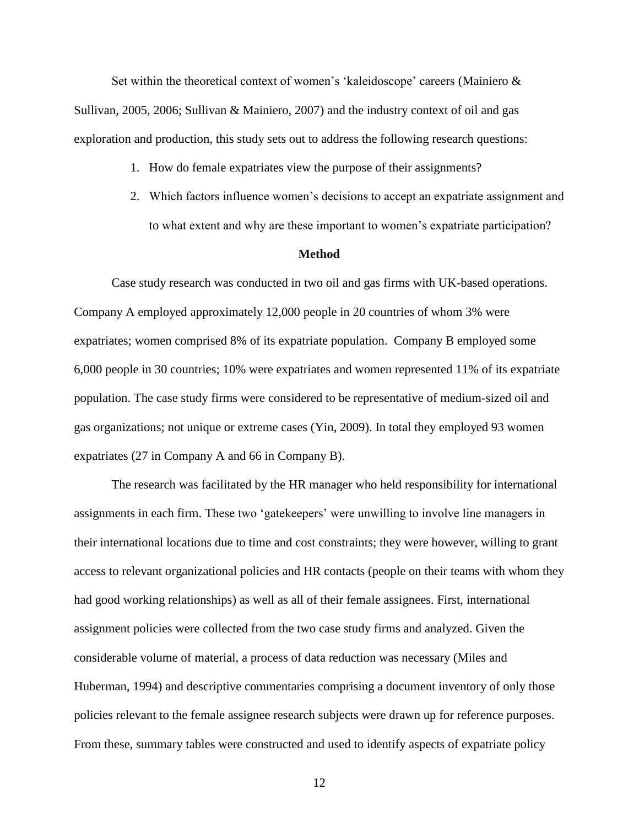Set within the theoretical context of women's 'kaleidoscope' careers (Mainiero & Sullivan, 2005, 2006; Sullivan & Mainiero, 2007) and the industry context of oil and gas exploration and production, this study sets out to address the following research questions:

- 1. How do female expatriates view the purpose of their assignments?
- 2. Which factors influence women's decisions to accept an expatriate assignment and to what extent and why are these important to women's expatriate participation?

#### **Method**

Case study research was conducted in two oil and gas firms with UK-based operations. Company A employed approximately 12,000 people in 20 countries of whom 3% were expatriates; women comprised 8% of its expatriate population. Company B employed some 6,000 people in 30 countries; 10% were expatriates and women represented 11% of its expatriate population. The case study firms were considered to be representative of medium-sized oil and gas organizations; not unique or extreme cases (Yin, 2009). In total they employed 93 women expatriates (27 in Company A and 66 in Company B).

The research was facilitated by the HR manager who held responsibility for international assignments in each firm. These two 'gatekeepers' were unwilling to involve line managers in their international locations due to time and cost constraints; they were however, willing to grant access to relevant organizational policies and HR contacts (people on their teams with whom they had good working relationships) as well as all of their female assignees. First, international assignment policies were collected from the two case study firms and analyzed. Given the considerable volume of material, a process of data reduction was necessary (Miles and Huberman, 1994) and descriptive commentaries comprising a document inventory of only those policies relevant to the female assignee research subjects were drawn up for reference purposes. From these, summary tables were constructed and used to identify aspects of expatriate policy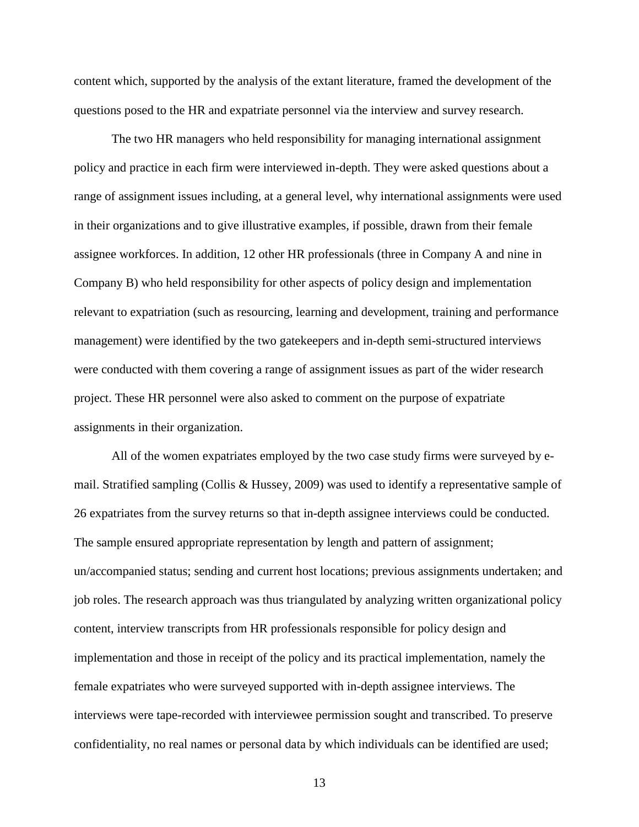content which, supported by the analysis of the extant literature, framed the development of the questions posed to the HR and expatriate personnel via the interview and survey research.

The two HR managers who held responsibility for managing international assignment policy and practice in each firm were interviewed in-depth. They were asked questions about a range of assignment issues including, at a general level, why international assignments were used in their organizations and to give illustrative examples, if possible, drawn from their female assignee workforces. In addition, 12 other HR professionals (three in Company A and nine in Company B) who held responsibility for other aspects of policy design and implementation relevant to expatriation (such as resourcing, learning and development, training and performance management) were identified by the two gatekeepers and in-depth semi-structured interviews were conducted with them covering a range of assignment issues as part of the wider research project. These HR personnel were also asked to comment on the purpose of expatriate assignments in their organization.

All of the women expatriates employed by the two case study firms were surveyed by email. Stratified sampling (Collis & Hussey, 2009) was used to identify a representative sample of 26 expatriates from the survey returns so that in-depth assignee interviews could be conducted. The sample ensured appropriate representation by length and pattern of assignment; un/accompanied status; sending and current host locations; previous assignments undertaken; and job roles. The research approach was thus triangulated by analyzing written organizational policy content, interview transcripts from HR professionals responsible for policy design and implementation and those in receipt of the policy and its practical implementation, namely the female expatriates who were surveyed supported with in-depth assignee interviews. The interviews were tape-recorded with interviewee permission sought and transcribed. To preserve confidentiality, no real names or personal data by which individuals can be identified are used;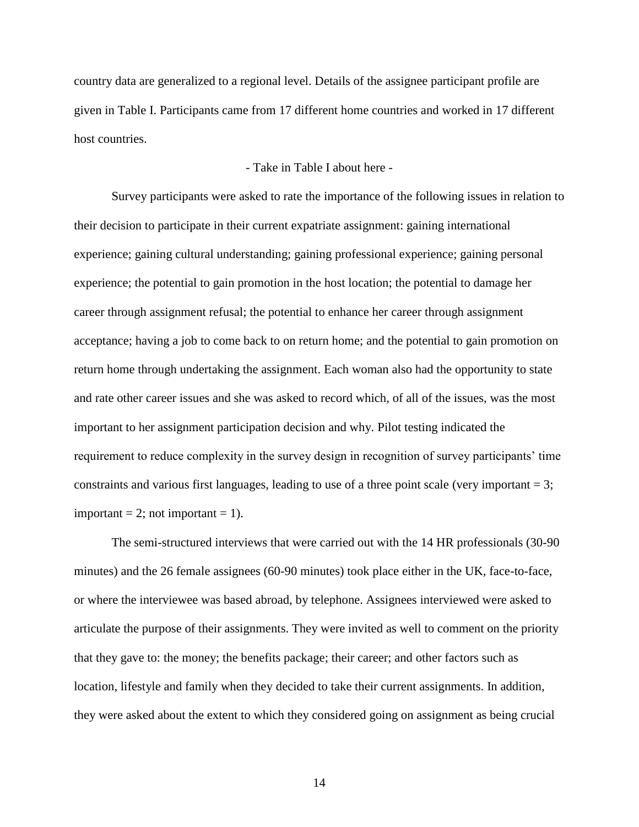country data are generalized to a regional level. Details of the assignee participant profile are given in Table I. Participants came from 17 different home countries and worked in 17 different host countries.

- Take in Table I about here -

Survey participants were asked to rate the importance of the following issues in relation to their decision to participate in their current expatriate assignment: gaining international experience; gaining cultural understanding; gaining professional experience; gaining personal experience; the potential to gain promotion in the host location; the potential to damage her career through assignment refusal; the potential to enhance her career through assignment acceptance; having a job to come back to on return home; and the potential to gain promotion on return home through undertaking the assignment. Each woman also had the opportunity to state and rate other career issues and she was asked to record which, of all of the issues, was the most important to her assignment participation decision and why. Pilot testing indicated the requirement to reduce complexity in the survey design in recognition of survey participants' time constraints and various first languages, leading to use of a three point scale (very important  $= 3$ ;  $important = 2; not important = 1.$ 

The semi-structured interviews that were carried out with the 14 HR professionals (30-90 minutes) and the 26 female assignees (60-90 minutes) took place either in the UK, face-to-face, or where the interviewee was based abroad, by telephone. Assignees interviewed were asked to articulate the purpose of their assignments. They were invited as well to comment on the priority that they gave to: the money; the benefits package; their career; and other factors such as location, lifestyle and family when they decided to take their current assignments. In addition, they were asked about the extent to which they considered going on assignment as being crucial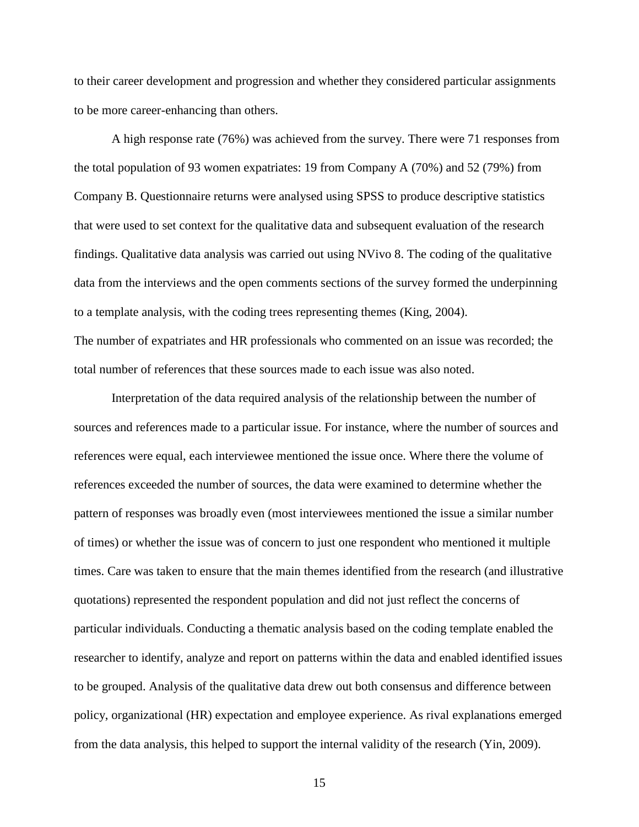to their career development and progression and whether they considered particular assignments to be more career-enhancing than others.

A high response rate (76%) was achieved from the survey. There were 71 responses from the total population of 93 women expatriates: 19 from Company A (70%) and 52 (79%) from Company B. Questionnaire returns were analysed using SPSS to produce descriptive statistics that were used to set context for the qualitative data and subsequent evaluation of the research findings. Qualitative data analysis was carried out using NVivo 8. The coding of the qualitative data from the interviews and the open comments sections of the survey formed the underpinning to a template analysis, with the coding trees representing themes (King, 2004). The number of expatriates and HR professionals who commented on an issue was recorded; the total number of references that these sources made to each issue was also noted.

Interpretation of the data required analysis of the relationship between the number of sources and references made to a particular issue. For instance, where the number of sources and references were equal, each interviewee mentioned the issue once. Where there the volume of references exceeded the number of sources, the data were examined to determine whether the pattern of responses was broadly even (most interviewees mentioned the issue a similar number of times) or whether the issue was of concern to just one respondent who mentioned it multiple times. Care was taken to ensure that the main themes identified from the research (and illustrative quotations) represented the respondent population and did not just reflect the concerns of particular individuals. Conducting a thematic analysis based on the coding template enabled the researcher to identify, analyze and report on patterns within the data and enabled identified issues to be grouped. Analysis of the qualitative data drew out both consensus and difference between policy, organizational (HR) expectation and employee experience. As rival explanations emerged from the data analysis, this helped to support the internal validity of the research (Yin, 2009).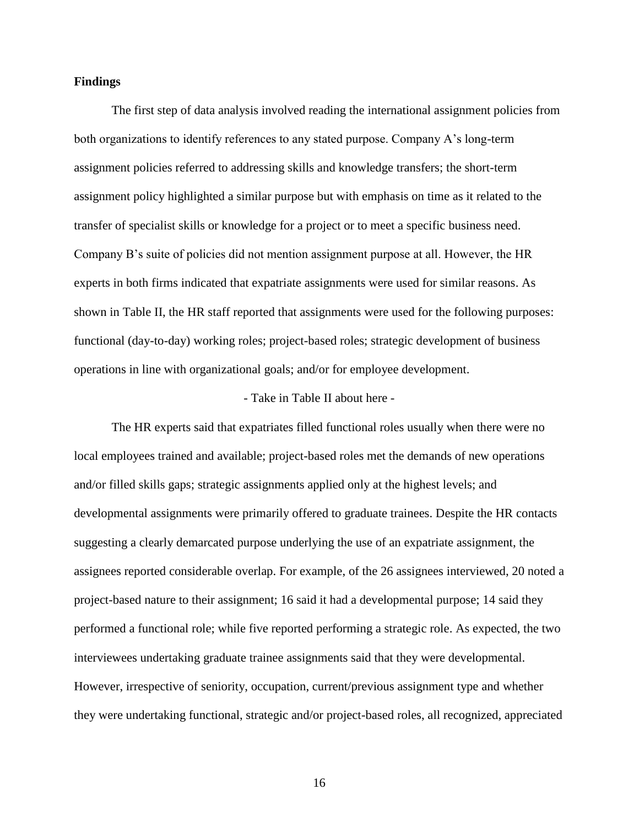## **Findings**

The first step of data analysis involved reading the international assignment policies from both organizations to identify references to any stated purpose. Company A's long-term assignment policies referred to addressing skills and knowledge transfers; the short-term assignment policy highlighted a similar purpose but with emphasis on time as it related to the transfer of specialist skills or knowledge for a project or to meet a specific business need. Company B's suite of policies did not mention assignment purpose at all. However, the HR experts in both firms indicated that expatriate assignments were used for similar reasons. As shown in Table II, the HR staff reported that assignments were used for the following purposes: functional (day-to-day) working roles; project-based roles; strategic development of business operations in line with organizational goals; and/or for employee development.

## - Take in Table II about here -

The HR experts said that expatriates filled functional roles usually when there were no local employees trained and available; project-based roles met the demands of new operations and/or filled skills gaps; strategic assignments applied only at the highest levels; and developmental assignments were primarily offered to graduate trainees. Despite the HR contacts suggesting a clearly demarcated purpose underlying the use of an expatriate assignment, the assignees reported considerable overlap. For example, of the 26 assignees interviewed, 20 noted a project-based nature to their assignment; 16 said it had a developmental purpose; 14 said they performed a functional role; while five reported performing a strategic role. As expected, the two interviewees undertaking graduate trainee assignments said that they were developmental. However, irrespective of seniority, occupation, current/previous assignment type and whether they were undertaking functional, strategic and/or project-based roles, all recognized, appreciated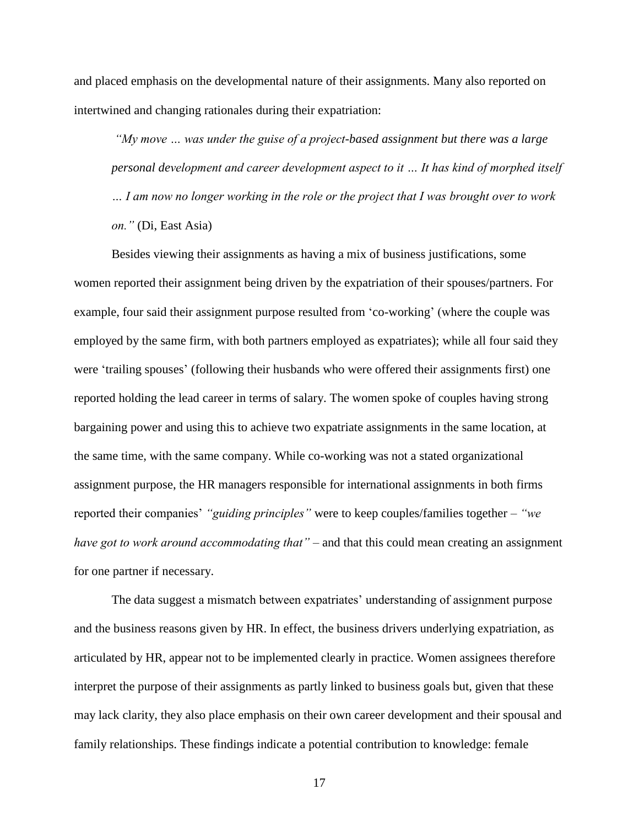and placed emphasis on the developmental nature of their assignments. Many also reported on intertwined and changing rationales during their expatriation:

*"My move … was under the guise of a project-based assignment but there was a large personal development and career development aspect to it … It has kind of morphed itself … I am now no longer working in the role or the project that I was brought over to work on."* (Di, East Asia)

Besides viewing their assignments as having a mix of business justifications, some women reported their assignment being driven by the expatriation of their spouses/partners. For example, four said their assignment purpose resulted from 'co-working' (where the couple was employed by the same firm, with both partners employed as expatriates); while all four said they were 'trailing spouses' (following their husbands who were offered their assignments first) one reported holding the lead career in terms of salary. The women spoke of couples having strong bargaining power and using this to achieve two expatriate assignments in the same location, at the same time, with the same company. While co-working was not a stated organizational assignment purpose, the HR managers responsible for international assignments in both firms reported their companies' *"guiding principles"* were to keep couples/families together – *"we have got to work around accommodating that*" – and that this could mean creating an assignment for one partner if necessary.

The data suggest a mismatch between expatriates' understanding of assignment purpose and the business reasons given by HR. In effect, the business drivers underlying expatriation, as articulated by HR, appear not to be implemented clearly in practice. Women assignees therefore interpret the purpose of their assignments as partly linked to business goals but, given that these may lack clarity, they also place emphasis on their own career development and their spousal and family relationships. These findings indicate a potential contribution to knowledge: female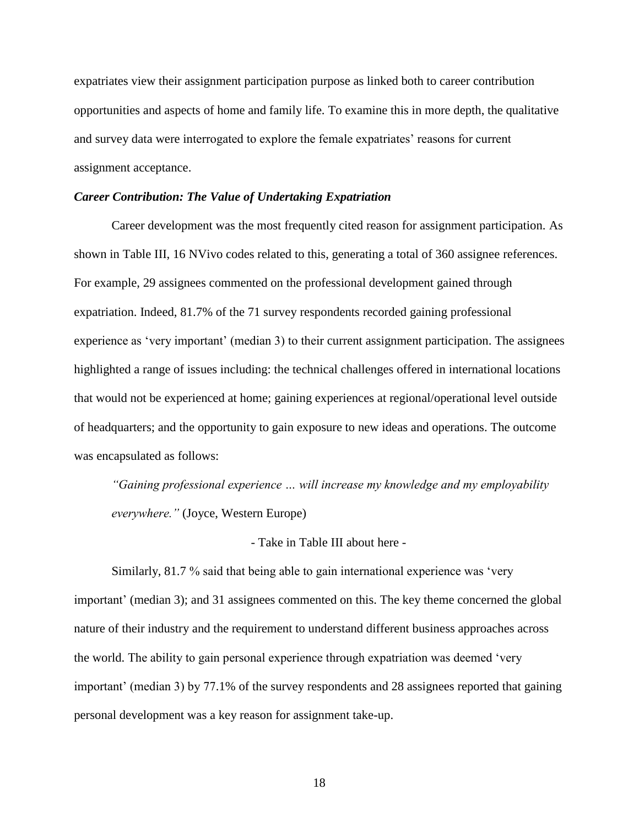expatriates view their assignment participation purpose as linked both to career contribution opportunities and aspects of home and family life. To examine this in more depth, the qualitative and survey data were interrogated to explore the female expatriates' reasons for current assignment acceptance.

#### *Career Contribution: The Value of Undertaking Expatriation*

Career development was the most frequently cited reason for assignment participation. As shown in Table III, 16 NVivo codes related to this, generating a total of 360 assignee references. For example, 29 assignees commented on the professional development gained through expatriation. Indeed, 81.7% of the 71 survey respondents recorded gaining professional experience as 'very important' (median 3) to their current assignment participation. The assignees highlighted a range of issues including: the technical challenges offered in international locations that would not be experienced at home; gaining experiences at regional/operational level outside of headquarters; and the opportunity to gain exposure to new ideas and operations. The outcome was encapsulated as follows:

*"Gaining professional experience … will increase my knowledge and my employability everywhere."* (Joyce, Western Europe)

- Take in Table III about here -

Similarly, 81.7 % said that being able to gain international experience was 'very important' (median 3); and 31 assignees commented on this. The key theme concerned the global nature of their industry and the requirement to understand different business approaches across the world. The ability to gain personal experience through expatriation was deemed 'very important' (median 3) by 77.1% of the survey respondents and 28 assignees reported that gaining personal development was a key reason for assignment take-up.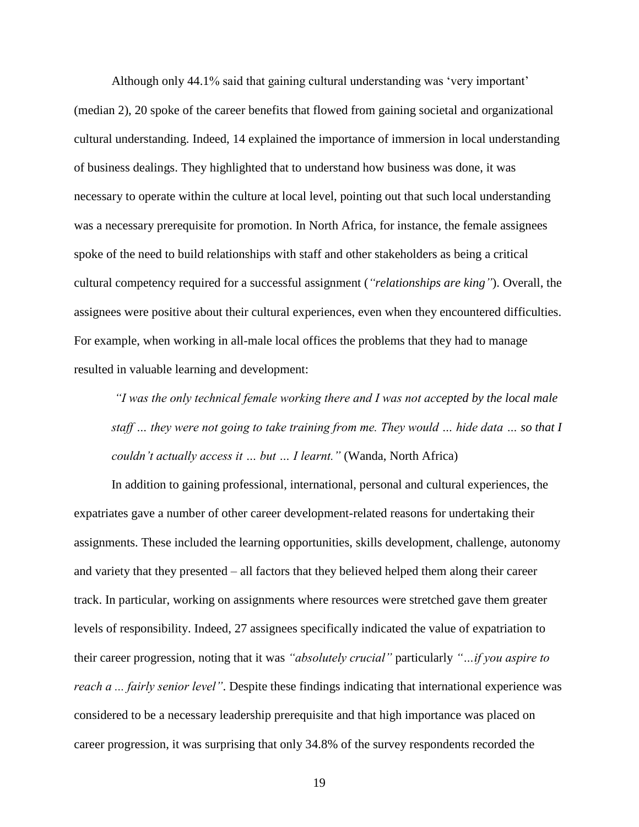Although only 44.1% said that gaining cultural understanding was 'very important' (median 2), 20 spoke of the career benefits that flowed from gaining societal and organizational cultural understanding. Indeed, 14 explained the importance of immersion in local understanding of business dealings. They highlighted that to understand how business was done, it was necessary to operate within the culture at local level, pointing out that such local understanding was a necessary prerequisite for promotion. In North Africa, for instance, the female assignees spoke of the need to build relationships with staff and other stakeholders as being a critical cultural competency required for a successful assignment (*"relationships are king"*). Overall, the assignees were positive about their cultural experiences, even when they encountered difficulties. For example, when working in all-male local offices the problems that they had to manage resulted in valuable learning and development:

*"I was the only technical female working there and I was not accepted by the local male staff … they were not going to take training from me. They would … hide data … so that I couldn't actually access it … but … I learnt."* (Wanda, North Africa)

In addition to gaining professional, international, personal and cultural experiences, the expatriates gave a number of other career development-related reasons for undertaking their assignments. These included the learning opportunities, skills development, challenge, autonomy and variety that they presented – all factors that they believed helped them along their career track. In particular, working on assignments where resources were stretched gave them greater levels of responsibility. Indeed, 27 assignees specifically indicated the value of expatriation to their career progression, noting that it was *"absolutely crucial"* particularly *"…if you aspire to reach a ... fairly senior level"*. Despite these findings indicating that international experience was considered to be a necessary leadership prerequisite and that high importance was placed on career progression, it was surprising that only 34.8% of the survey respondents recorded the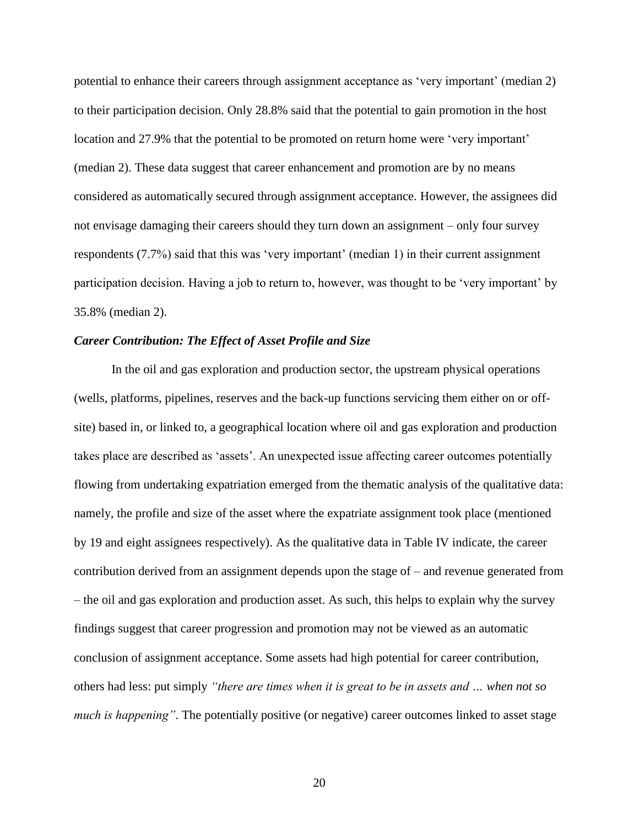potential to enhance their careers through assignment acceptance as 'very important' (median 2) to their participation decision. Only 28.8% said that the potential to gain promotion in the host location and 27.9% that the potential to be promoted on return home were 'very important' (median 2). These data suggest that career enhancement and promotion are by no means considered as automatically secured through assignment acceptance. However, the assignees did not envisage damaging their careers should they turn down an assignment – only four survey respondents (7.7%) said that this was 'very important' (median 1) in their current assignment participation decision. Having a job to return to, however, was thought to be 'very important' by 35.8% (median 2).

## *Career Contribution: The Effect of Asset Profile and Size*

In the oil and gas exploration and production sector, the upstream physical operations (wells, platforms, pipelines, reserves and the back-up functions servicing them either on or offsite) based in, or linked to, a geographical location where oil and gas exploration and production takes place are described as 'assets'. An unexpected issue affecting career outcomes potentially flowing from undertaking expatriation emerged from the thematic analysis of the qualitative data: namely, the profile and size of the asset where the expatriate assignment took place (mentioned by 19 and eight assignees respectively). As the qualitative data in Table IV indicate, the career contribution derived from an assignment depends upon the stage of – and revenue generated from – the oil and gas exploration and production asset. As such, this helps to explain why the survey findings suggest that career progression and promotion may not be viewed as an automatic conclusion of assignment acceptance. Some assets had high potential for career contribution, others had less: put simply *"there are times when it is great to be in assets and … when not so much is happening*". The potentially positive (or negative) career outcomes linked to asset stage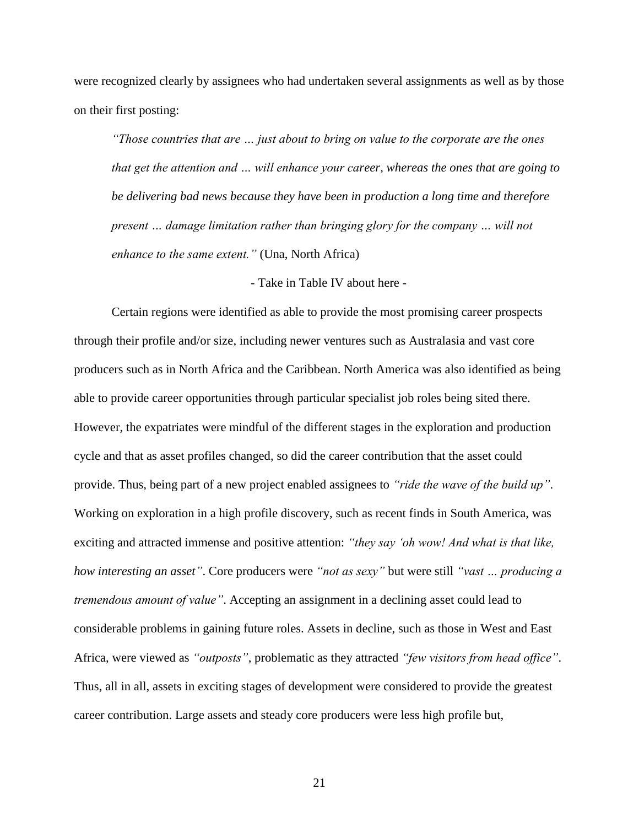were recognized clearly by assignees who had undertaken several assignments as well as by those on their first posting:

*"Those countries that are … just about to bring on value to the corporate are the ones that get the attention and … will enhance your career, whereas the ones that are going to be delivering bad news because they have been in production a long time and therefore present … damage limitation rather than bringing glory for the company … will not enhance to the same extent."* (Una, North Africa)

- Take in Table IV about here -

Certain regions were identified as able to provide the most promising career prospects through their profile and/or size, including newer ventures such as Australasia and vast core producers such as in North Africa and the Caribbean. North America was also identified as being able to provide career opportunities through particular specialist job roles being sited there. However, the expatriates were mindful of the different stages in the exploration and production cycle and that as asset profiles changed, so did the career contribution that the asset could provide. Thus, being part of a new project enabled assignees to *"ride the wave of the build up"*. Working on exploration in a high profile discovery, such as recent finds in South America, was exciting and attracted immense and positive attention: *"they say 'oh wow! And what is that like, how interesting an asset"*. Core producers were *"not as sexy"* but were still *"vast … producing a tremendous amount of value"*. Accepting an assignment in a declining asset could lead to considerable problems in gaining future roles. Assets in decline, such as those in West and East Africa, were viewed as *"outposts"*, problematic as they attracted *"few visitors from head office"*. Thus, all in all, assets in exciting stages of development were considered to provide the greatest career contribution. Large assets and steady core producers were less high profile but,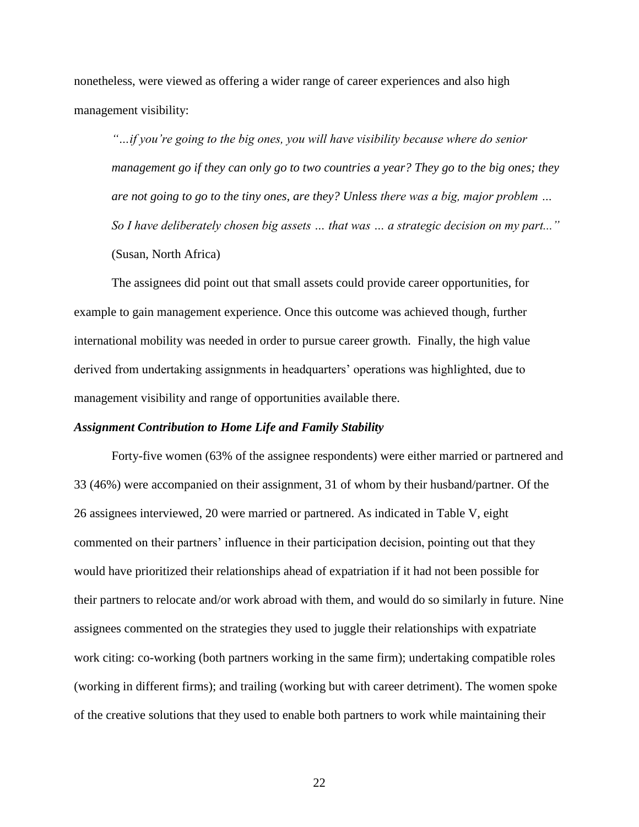nonetheless, were viewed as offering a wider range of career experiences and also high management visibility:

*"…if you're going to the big ones, you will have visibility because where do senior management go if they can only go to two countries a year? They go to the big ones; they are not going to go to the tiny ones, are they? Unless there was a big, major problem … So I have deliberately chosen big assets … that was … a strategic decision on my part..."* (Susan, North Africa)

The assignees did point out that small assets could provide career opportunities, for example to gain management experience. Once this outcome was achieved though, further international mobility was needed in order to pursue career growth. Finally, the high value derived from undertaking assignments in headquarters' operations was highlighted, due to management visibility and range of opportunities available there.

### *Assignment Contribution to Home Life and Family Stability*

Forty-five women (63% of the assignee respondents) were either married or partnered and 33 (46%) were accompanied on their assignment, 31 of whom by their husband/partner. Of the 26 assignees interviewed, 20 were married or partnered. As indicated in Table V, eight commented on their partners' influence in their participation decision, pointing out that they would have prioritized their relationships ahead of expatriation if it had not been possible for their partners to relocate and/or work abroad with them, and would do so similarly in future. Nine assignees commented on the strategies they used to juggle their relationships with expatriate work citing: co-working (both partners working in the same firm); undertaking compatible roles (working in different firms); and trailing (working but with career detriment). The women spoke of the creative solutions that they used to enable both partners to work while maintaining their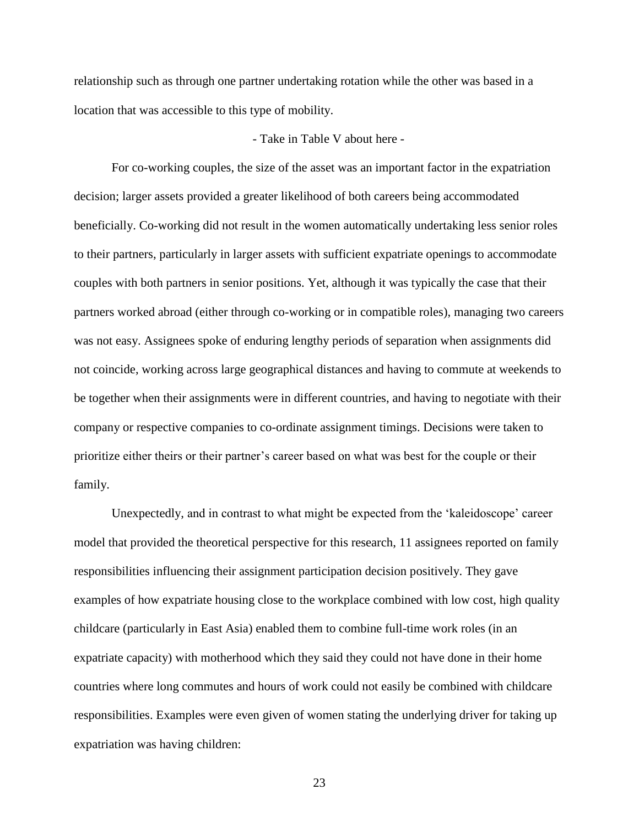relationship such as through one partner undertaking rotation while the other was based in a location that was accessible to this type of mobility.

## - Take in Table V about here -

For co-working couples, the size of the asset was an important factor in the expatriation decision; larger assets provided a greater likelihood of both careers being accommodated beneficially. Co-working did not result in the women automatically undertaking less senior roles to their partners, particularly in larger assets with sufficient expatriate openings to accommodate couples with both partners in senior positions. Yet, although it was typically the case that their partners worked abroad (either through co-working or in compatible roles), managing two careers was not easy. Assignees spoke of enduring lengthy periods of separation when assignments did not coincide, working across large geographical distances and having to commute at weekends to be together when their assignments were in different countries, and having to negotiate with their company or respective companies to co-ordinate assignment timings. Decisions were taken to prioritize either theirs or their partner's career based on what was best for the couple or their family.

Unexpectedly, and in contrast to what might be expected from the 'kaleidoscope' career model that provided the theoretical perspective for this research, 11 assignees reported on family responsibilities influencing their assignment participation decision positively. They gave examples of how expatriate housing close to the workplace combined with low cost, high quality childcare (particularly in East Asia) enabled them to combine full-time work roles (in an expatriate capacity) with motherhood which they said they could not have done in their home countries where long commutes and hours of work could not easily be combined with childcare responsibilities. Examples were even given of women stating the underlying driver for taking up expatriation was having children: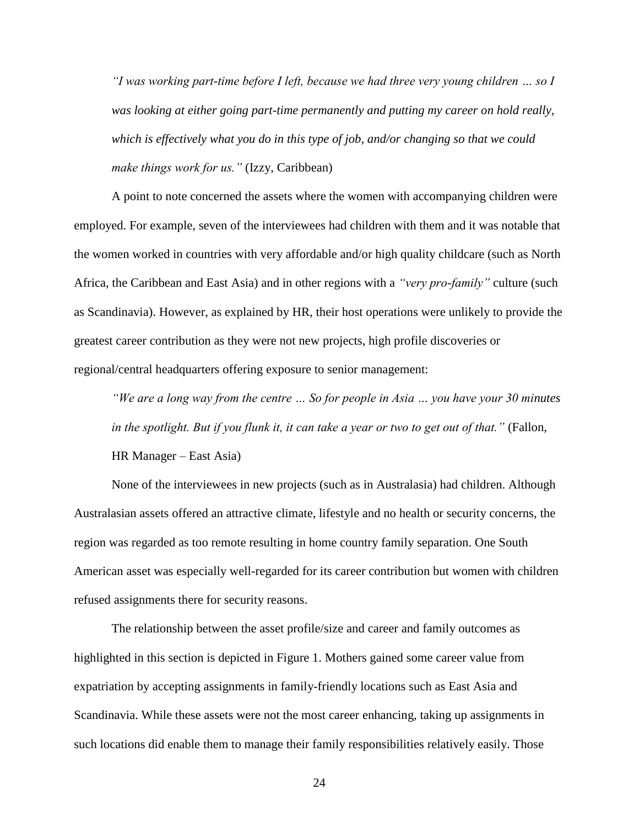*"I was working part-time before I left, because we had three very young children … so I was looking at either going part-time permanently and putting my career on hold really, which is effectively what you do in this type of job, and/or changing so that we could make things work for us."* (Izzy, Caribbean)

A point to note concerned the assets where the women with accompanying children were employed. For example, seven of the interviewees had children with them and it was notable that the women worked in countries with very affordable and/or high quality childcare (such as North Africa, the Caribbean and East Asia) and in other regions with a *"very pro-family"* culture (such as Scandinavia). However, as explained by HR, their host operations were unlikely to provide the greatest career contribution as they were not new projects, high profile discoveries or regional/central headquarters offering exposure to senior management:

*"We are a long way from the centre … So for people in Asia … you have your 30 minutes in the spotlight. But if you flunk it, it can take a year or two to get out of that."* (Fallon, HR Manager – East Asia)

None of the interviewees in new projects (such as in Australasia) had children. Although Australasian assets offered an attractive climate, lifestyle and no health or security concerns, the region was regarded as too remote resulting in home country family separation. One South American asset was especially well-regarded for its career contribution but women with children refused assignments there for security reasons.

The relationship between the asset profile/size and career and family outcomes as highlighted in this section is depicted in Figure 1. Mothers gained some career value from expatriation by accepting assignments in family-friendly locations such as East Asia and Scandinavia. While these assets were not the most career enhancing, taking up assignments in such locations did enable them to manage their family responsibilities relatively easily. Those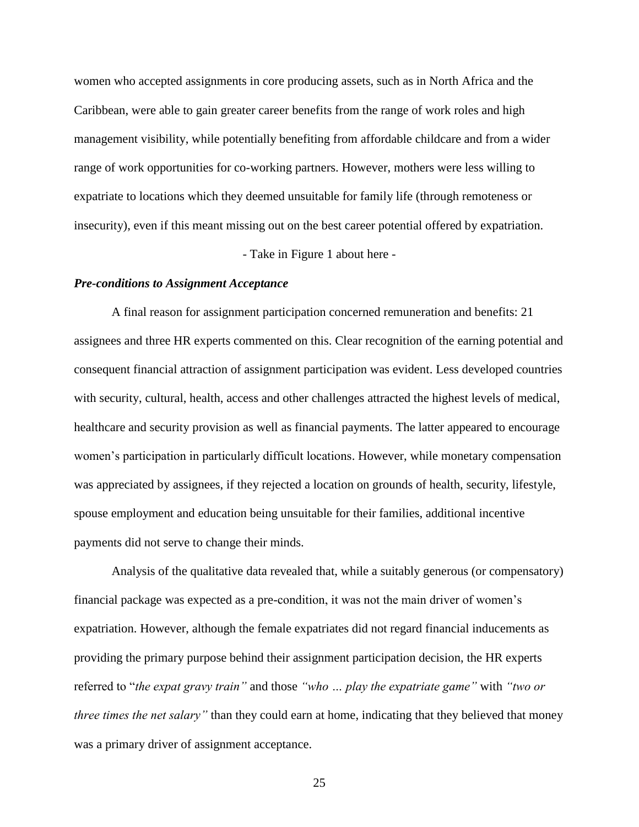women who accepted assignments in core producing assets, such as in North Africa and the Caribbean, were able to gain greater career benefits from the range of work roles and high management visibility, while potentially benefiting from affordable childcare and from a wider range of work opportunities for co-working partners. However, mothers were less willing to expatriate to locations which they deemed unsuitable for family life (through remoteness or insecurity), even if this meant missing out on the best career potential offered by expatriation.

- Take in Figure 1 about here -

#### *Pre-conditions to Assignment Acceptance*

A final reason for assignment participation concerned remuneration and benefits: 21 assignees and three HR experts commented on this. Clear recognition of the earning potential and consequent financial attraction of assignment participation was evident. Less developed countries with security, cultural, health, access and other challenges attracted the highest levels of medical, healthcare and security provision as well as financial payments. The latter appeared to encourage women's participation in particularly difficult locations. However, while monetary compensation was appreciated by assignees, if they rejected a location on grounds of health, security, lifestyle, spouse employment and education being unsuitable for their families, additional incentive payments did not serve to change their minds.

Analysis of the qualitative data revealed that, while a suitably generous (or compensatory) financial package was expected as a pre-condition, it was not the main driver of women's expatriation. However, although the female expatriates did not regard financial inducements as providing the primary purpose behind their assignment participation decision, the HR experts referred to "*the expat gravy train"* and those *"who … play the expatriate game"* with *"two or three times the net salary"* than they could earn at home, indicating that they believed that money was a primary driver of assignment acceptance.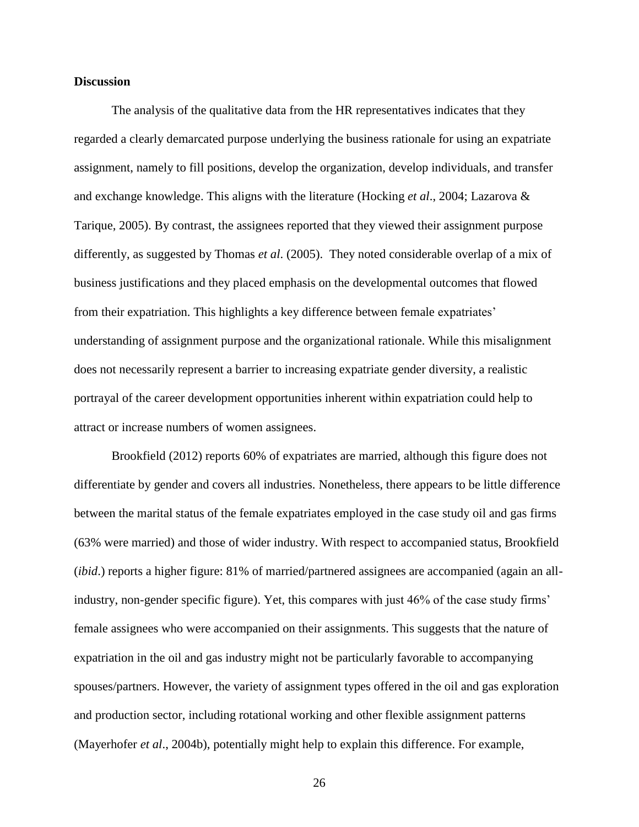## **Discussion**

The analysis of the qualitative data from the HR representatives indicates that they regarded a clearly demarcated purpose underlying the business rationale for using an expatriate assignment, namely to fill positions, develop the organization, develop individuals, and transfer and exchange knowledge. This aligns with the literature (Hocking *et al*., 2004; Lazarova & Tarique, 2005). By contrast, the assignees reported that they viewed their assignment purpose differently, as suggested by Thomas *et al*. (2005). They noted considerable overlap of a mix of business justifications and they placed emphasis on the developmental outcomes that flowed from their expatriation. This highlights a key difference between female expatriates' understanding of assignment purpose and the organizational rationale. While this misalignment does not necessarily represent a barrier to increasing expatriate gender diversity, a realistic portrayal of the career development opportunities inherent within expatriation could help to attract or increase numbers of women assignees.

Brookfield (2012) reports 60% of expatriates are married, although this figure does not differentiate by gender and covers all industries. Nonetheless, there appears to be little difference between the marital status of the female expatriates employed in the case study oil and gas firms (63% were married) and those of wider industry. With respect to accompanied status, Brookfield (*ibid*.) reports a higher figure: 81% of married/partnered assignees are accompanied (again an allindustry, non-gender specific figure). Yet, this compares with just 46% of the case study firms' female assignees who were accompanied on their assignments. This suggests that the nature of expatriation in the oil and gas industry might not be particularly favorable to accompanying spouses/partners. However, the variety of assignment types offered in the oil and gas exploration and production sector, including rotational working and other flexible assignment patterns (Mayerhofer *et al*., 2004b), potentially might help to explain this difference. For example,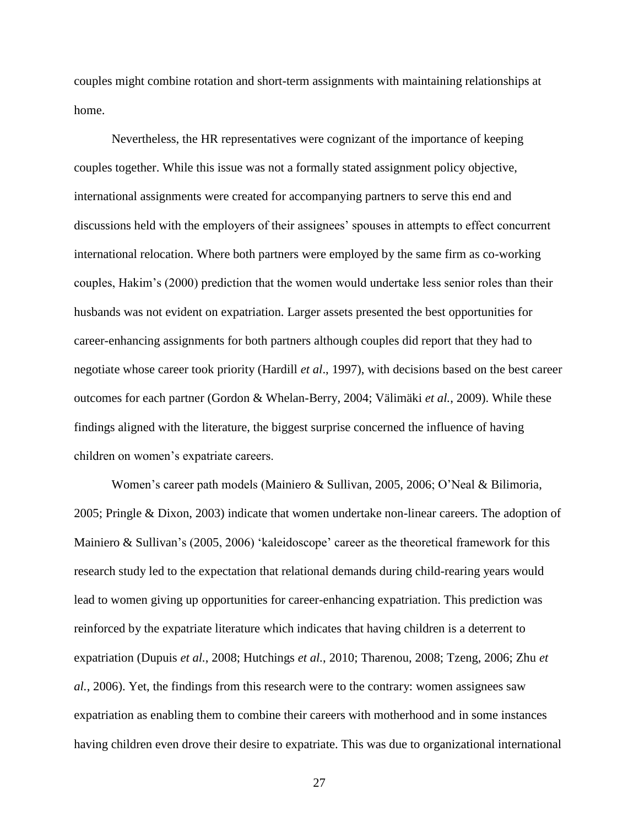couples might combine rotation and short-term assignments with maintaining relationships at home.

Nevertheless, the HR representatives were cognizant of the importance of keeping couples together. While this issue was not a formally stated assignment policy objective, international assignments were created for accompanying partners to serve this end and discussions held with the employers of their assignees' spouses in attempts to effect concurrent international relocation. Where both partners were employed by the same firm as co-working couples, Hakim's (2000) prediction that the women would undertake less senior roles than their husbands was not evident on expatriation. Larger assets presented the best opportunities for career-enhancing assignments for both partners although couples did report that they had to negotiate whose career took priority (Hardill *et al*., 1997), with decisions based on the best career outcomes for each partner (Gordon & Whelan-Berry, 2004; Välimäki *et al.*, 2009). While these findings aligned with the literature, the biggest surprise concerned the influence of having children on women's expatriate careers.

Women's career path models (Mainiero & Sullivan, 2005, 2006; O'Neal & Bilimoria, 2005; Pringle & Dixon, 2003) indicate that women undertake non-linear careers. The adoption of Mainiero & Sullivan's (2005, 2006) 'kaleidoscope' career as the theoretical framework for this research study led to the expectation that relational demands during child-rearing years would lead to women giving up opportunities for career-enhancing expatriation. This prediction was reinforced by the expatriate literature which indicates that having children is a deterrent to expatriation (Dupuis *et al.*, 2008; Hutchings *et al.*, 2010; Tharenou, 2008; Tzeng, 2006; Zhu *et al.*, 2006). Yet, the findings from this research were to the contrary: women assignees saw expatriation as enabling them to combine their careers with motherhood and in some instances having children even drove their desire to expatriate. This was due to organizational international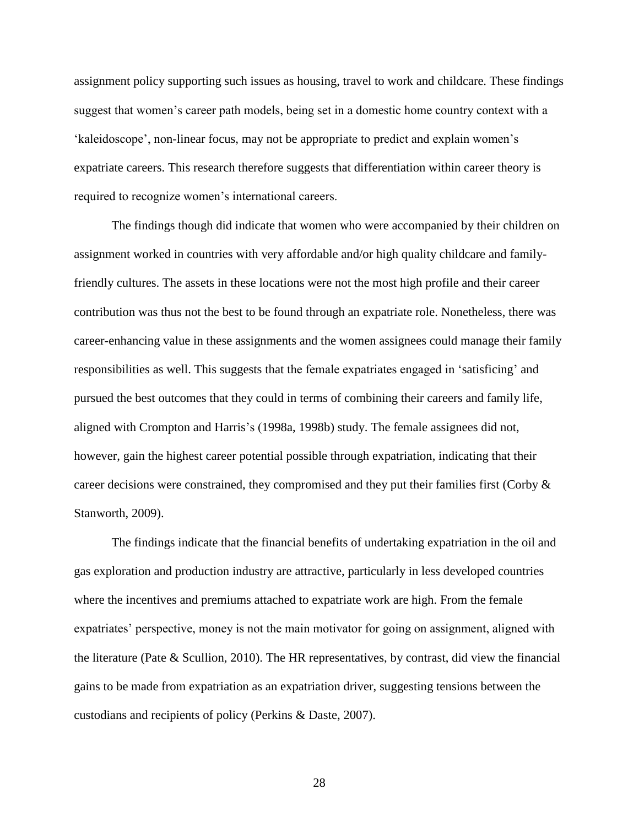assignment policy supporting such issues as housing, travel to work and childcare. These findings suggest that women's career path models, being set in a domestic home country context with a 'kaleidoscope', non-linear focus, may not be appropriate to predict and explain women's expatriate careers. This research therefore suggests that differentiation within career theory is required to recognize women's international careers.

The findings though did indicate that women who were accompanied by their children on assignment worked in countries with very affordable and/or high quality childcare and familyfriendly cultures. The assets in these locations were not the most high profile and their career contribution was thus not the best to be found through an expatriate role. Nonetheless, there was career-enhancing value in these assignments and the women assignees could manage their family responsibilities as well. This suggests that the female expatriates engaged in 'satisficing' and pursued the best outcomes that they could in terms of combining their careers and family life, aligned with Crompton and Harris's (1998a, 1998b) study. The female assignees did not, however, gain the highest career potential possible through expatriation, indicating that their career decisions were constrained, they compromised and they put their families first (Corby & Stanworth, 2009).

The findings indicate that the financial benefits of undertaking expatriation in the oil and gas exploration and production industry are attractive, particularly in less developed countries where the incentives and premiums attached to expatriate work are high. From the female expatriates' perspective, money is not the main motivator for going on assignment, aligned with the literature (Pate & Scullion, 2010). The HR representatives, by contrast, did view the financial gains to be made from expatriation as an expatriation driver, suggesting tensions between the custodians and recipients of policy (Perkins & Daste, 2007).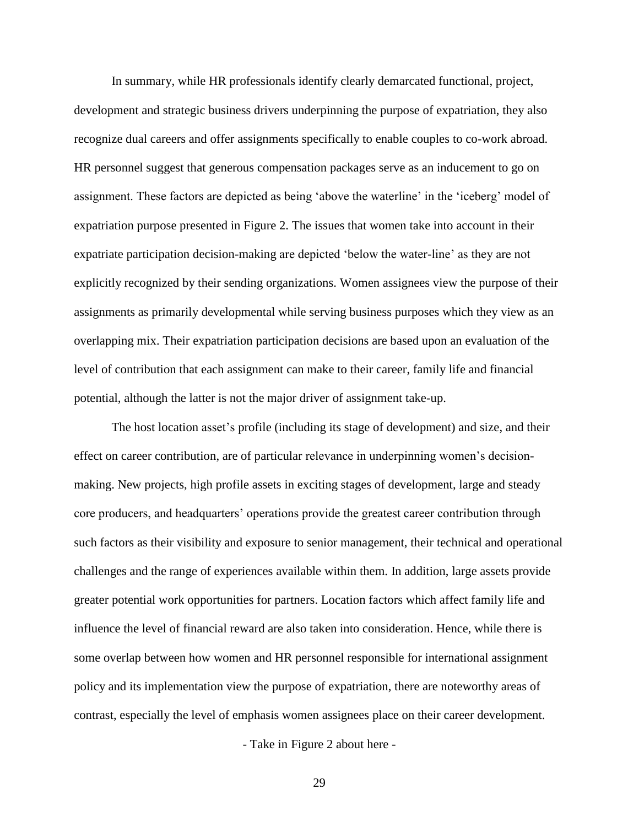In summary, while HR professionals identify clearly demarcated functional, project, development and strategic business drivers underpinning the purpose of expatriation, they also recognize dual careers and offer assignments specifically to enable couples to co-work abroad. HR personnel suggest that generous compensation packages serve as an inducement to go on assignment. These factors are depicted as being 'above the waterline' in the 'iceberg' model of expatriation purpose presented in Figure 2. The issues that women take into account in their expatriate participation decision-making are depicted 'below the water-line' as they are not explicitly recognized by their sending organizations. Women assignees view the purpose of their assignments as primarily developmental while serving business purposes which they view as an overlapping mix. Their expatriation participation decisions are based upon an evaluation of the level of contribution that each assignment can make to their career, family life and financial potential, although the latter is not the major driver of assignment take-up.

The host location asset's profile (including its stage of development) and size, and their effect on career contribution, are of particular relevance in underpinning women's decisionmaking. New projects, high profile assets in exciting stages of development, large and steady core producers, and headquarters' operations provide the greatest career contribution through such factors as their visibility and exposure to senior management, their technical and operational challenges and the range of experiences available within them. In addition, large assets provide greater potential work opportunities for partners. Location factors which affect family life and influence the level of financial reward are also taken into consideration. Hence, while there is some overlap between how women and HR personnel responsible for international assignment policy and its implementation view the purpose of expatriation, there are noteworthy areas of contrast, especially the level of emphasis women assignees place on their career development.

- Take in Figure 2 about here -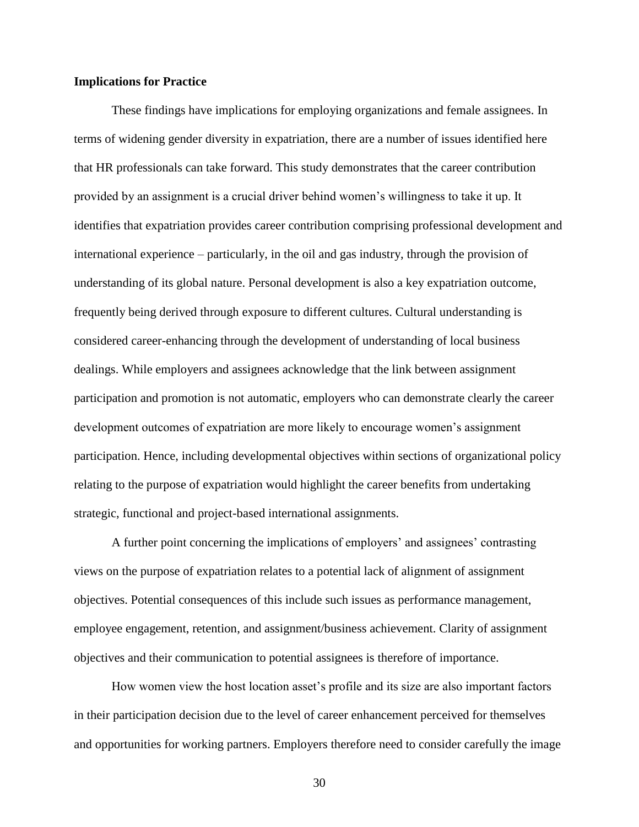### **Implications for Practice**

These findings have implications for employing organizations and female assignees. In terms of widening gender diversity in expatriation, there are a number of issues identified here that HR professionals can take forward. This study demonstrates that the career contribution provided by an assignment is a crucial driver behind women's willingness to take it up. It identifies that expatriation provides career contribution comprising professional development and international experience – particularly, in the oil and gas industry, through the provision of understanding of its global nature. Personal development is also a key expatriation outcome, frequently being derived through exposure to different cultures. Cultural understanding is considered career-enhancing through the development of understanding of local business dealings. While employers and assignees acknowledge that the link between assignment participation and promotion is not automatic, employers who can demonstrate clearly the career development outcomes of expatriation are more likely to encourage women's assignment participation. Hence, including developmental objectives within sections of organizational policy relating to the purpose of expatriation would highlight the career benefits from undertaking strategic, functional and project-based international assignments.

A further point concerning the implications of employers' and assignees' contrasting views on the purpose of expatriation relates to a potential lack of alignment of assignment objectives. Potential consequences of this include such issues as performance management, employee engagement, retention, and assignment/business achievement. Clarity of assignment objectives and their communication to potential assignees is therefore of importance.

How women view the host location asset's profile and its size are also important factors in their participation decision due to the level of career enhancement perceived for themselves and opportunities for working partners. Employers therefore need to consider carefully the image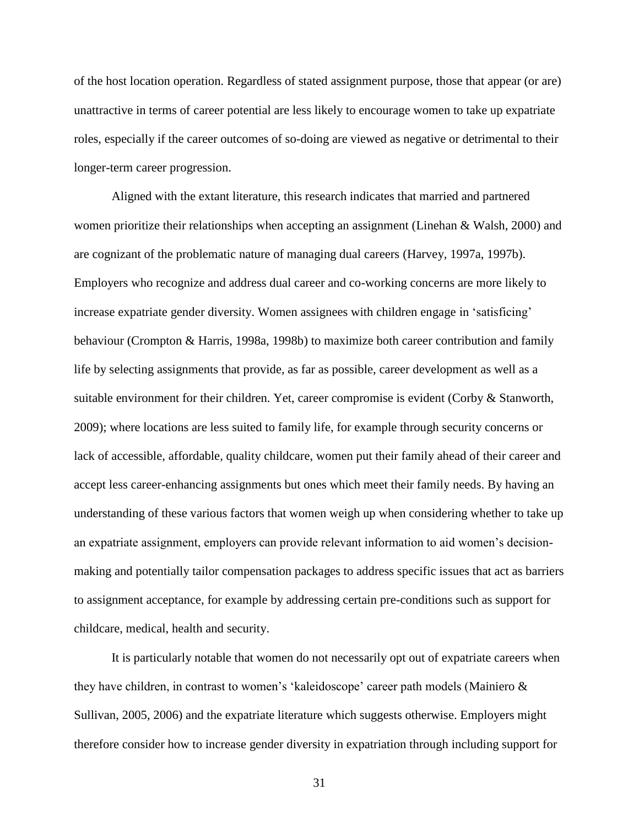of the host location operation. Regardless of stated assignment purpose, those that appear (or are) unattractive in terms of career potential are less likely to encourage women to take up expatriate roles, especially if the career outcomes of so-doing are viewed as negative or detrimental to their longer-term career progression.

Aligned with the extant literature, this research indicates that married and partnered women prioritize their relationships when accepting an assignment (Linehan & Walsh, 2000) and are cognizant of the problematic nature of managing dual careers (Harvey, 1997a, 1997b). Employers who recognize and address dual career and co-working concerns are more likely to increase expatriate gender diversity. Women assignees with children engage in 'satisficing' behaviour (Crompton & Harris, 1998a, 1998b) to maximize both career contribution and family life by selecting assignments that provide, as far as possible, career development as well as a suitable environment for their children. Yet, career compromise is evident (Corby & Stanworth, 2009); where locations are less suited to family life, for example through security concerns or lack of accessible, affordable, quality childcare, women put their family ahead of their career and accept less career-enhancing assignments but ones which meet their family needs. By having an understanding of these various factors that women weigh up when considering whether to take up an expatriate assignment, employers can provide relevant information to aid women's decisionmaking and potentially tailor compensation packages to address specific issues that act as barriers to assignment acceptance, for example by addressing certain pre-conditions such as support for childcare, medical, health and security.

It is particularly notable that women do not necessarily opt out of expatriate careers when they have children, in contrast to women's 'kaleidoscope' career path models (Mainiero & Sullivan, 2005, 2006) and the expatriate literature which suggests otherwise. Employers might therefore consider how to increase gender diversity in expatriation through including support for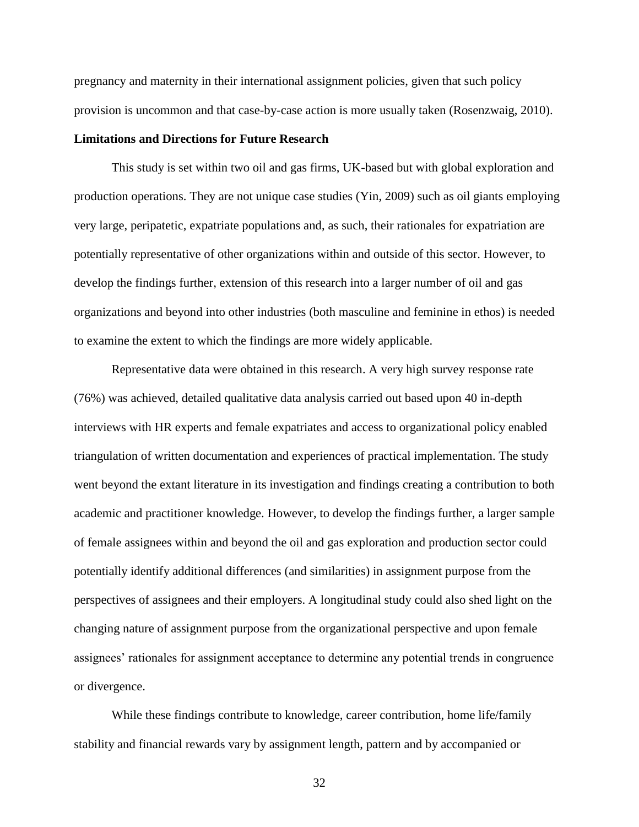pregnancy and maternity in their international assignment policies, given that such policy provision is uncommon and that case-by-case action is more usually taken (Rosenzwaig, 2010).

## **Limitations and Directions for Future Research**

This study is set within two oil and gas firms, UK-based but with global exploration and production operations. They are not unique case studies (Yin, 2009) such as oil giants employing very large, peripatetic, expatriate populations and, as such, their rationales for expatriation are potentially representative of other organizations within and outside of this sector. However, to develop the findings further, extension of this research into a larger number of oil and gas organizations and beyond into other industries (both masculine and feminine in ethos) is needed to examine the extent to which the findings are more widely applicable.

Representative data were obtained in this research. A very high survey response rate (76%) was achieved, detailed qualitative data analysis carried out based upon 40 in-depth interviews with HR experts and female expatriates and access to organizational policy enabled triangulation of written documentation and experiences of practical implementation. The study went beyond the extant literature in its investigation and findings creating a contribution to both academic and practitioner knowledge. However, to develop the findings further, a larger sample of female assignees within and beyond the oil and gas exploration and production sector could potentially identify additional differences (and similarities) in assignment purpose from the perspectives of assignees and their employers. A longitudinal study could also shed light on the changing nature of assignment purpose from the organizational perspective and upon female assignees' rationales for assignment acceptance to determine any potential trends in congruence or divergence.

While these findings contribute to knowledge, career contribution, home life/family stability and financial rewards vary by assignment length, pattern and by accompanied or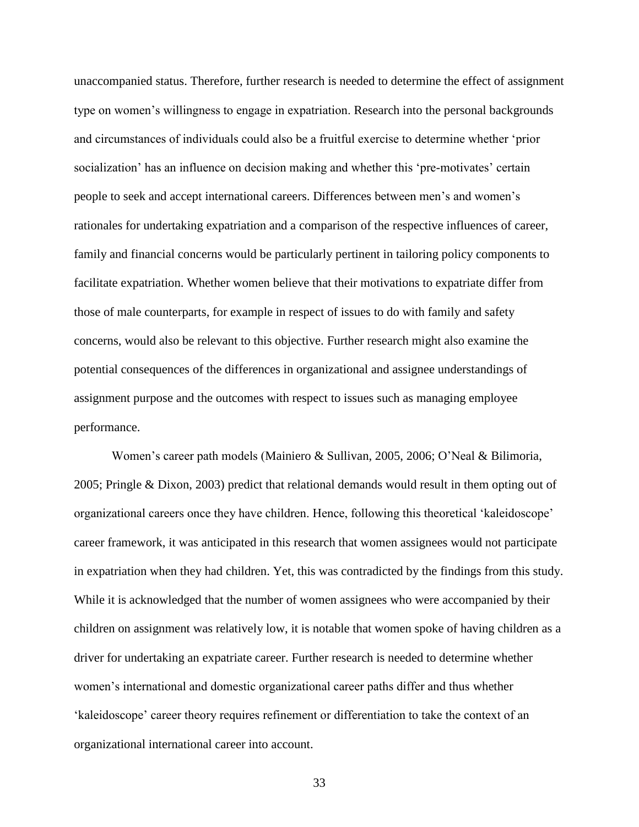unaccompanied status. Therefore, further research is needed to determine the effect of assignment type on women's willingness to engage in expatriation. Research into the personal backgrounds and circumstances of individuals could also be a fruitful exercise to determine whether 'prior socialization' has an influence on decision making and whether this 'pre-motivates' certain people to seek and accept international careers. Differences between men's and women's rationales for undertaking expatriation and a comparison of the respective influences of career, family and financial concerns would be particularly pertinent in tailoring policy components to facilitate expatriation. Whether women believe that their motivations to expatriate differ from those of male counterparts, for example in respect of issues to do with family and safety concerns, would also be relevant to this objective. Further research might also examine the potential consequences of the differences in organizational and assignee understandings of assignment purpose and the outcomes with respect to issues such as managing employee performance.

Women's career path models (Mainiero & Sullivan, 2005, 2006; O'Neal & Bilimoria, 2005; Pringle & Dixon, 2003) predict that relational demands would result in them opting out of organizational careers once they have children. Hence, following this theoretical 'kaleidoscope' career framework, it was anticipated in this research that women assignees would not participate in expatriation when they had children. Yet, this was contradicted by the findings from this study. While it is acknowledged that the number of women assignees who were accompanied by their children on assignment was relatively low, it is notable that women spoke of having children as a driver for undertaking an expatriate career. Further research is needed to determine whether women's international and domestic organizational career paths differ and thus whether 'kaleidoscope' career theory requires refinement or differentiation to take the context of an organizational international career into account.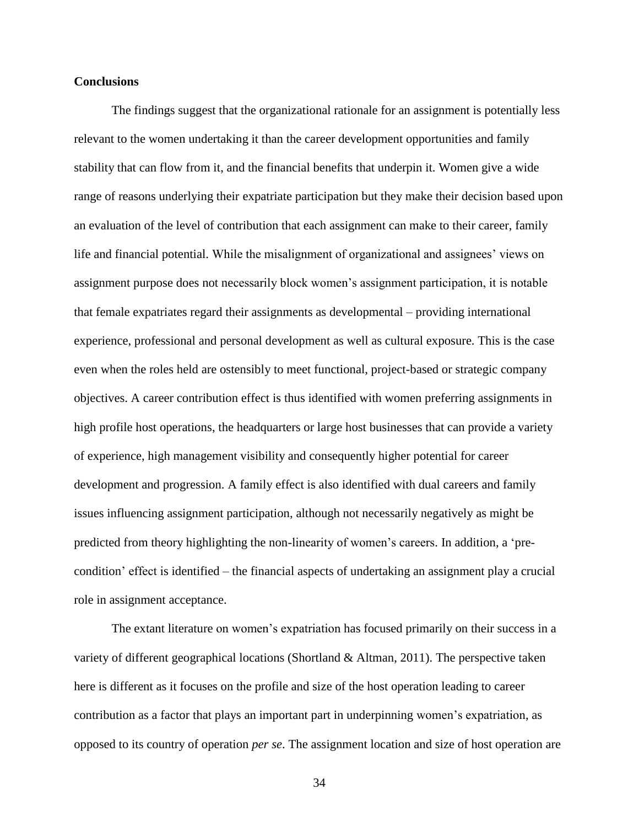## **Conclusions**

The findings suggest that the organizational rationale for an assignment is potentially less relevant to the women undertaking it than the career development opportunities and family stability that can flow from it, and the financial benefits that underpin it. Women give a wide range of reasons underlying their expatriate participation but they make their decision based upon an evaluation of the level of contribution that each assignment can make to their career, family life and financial potential. While the misalignment of organizational and assignees' views on assignment purpose does not necessarily block women's assignment participation, it is notable that female expatriates regard their assignments as developmental – providing international experience, professional and personal development as well as cultural exposure. This is the case even when the roles held are ostensibly to meet functional, project-based or strategic company objectives. A career contribution effect is thus identified with women preferring assignments in high profile host operations, the headquarters or large host businesses that can provide a variety of experience, high management visibility and consequently higher potential for career development and progression. A family effect is also identified with dual careers and family issues influencing assignment participation, although not necessarily negatively as might be predicted from theory highlighting the non-linearity of women's careers. In addition, a 'precondition' effect is identified – the financial aspects of undertaking an assignment play a crucial role in assignment acceptance.

The extant literature on women's expatriation has focused primarily on their success in a variety of different geographical locations (Shortland & Altman, 2011). The perspective taken here is different as it focuses on the profile and size of the host operation leading to career contribution as a factor that plays an important part in underpinning women's expatriation, as opposed to its country of operation *per se*. The assignment location and size of host operation are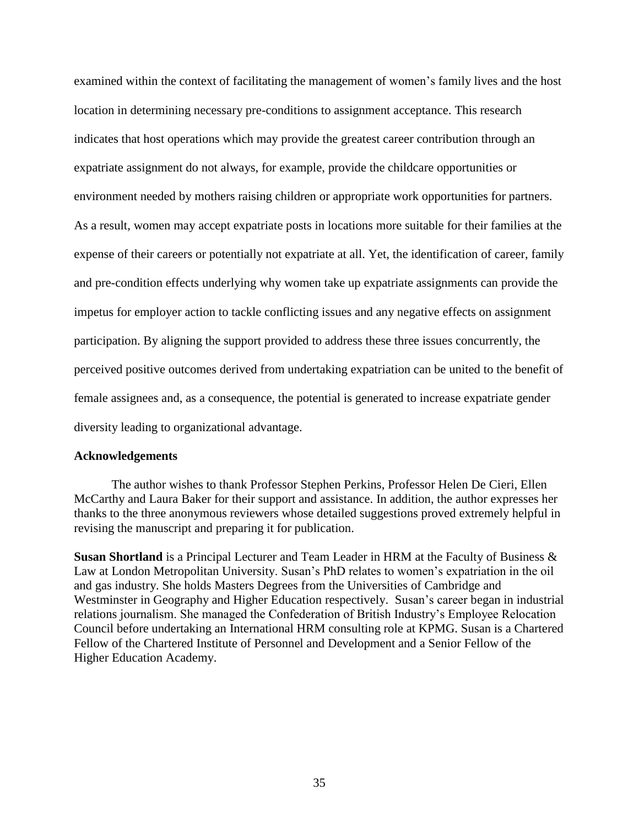examined within the context of facilitating the management of women's family lives and the host location in determining necessary pre-conditions to assignment acceptance. This research indicates that host operations which may provide the greatest career contribution through an expatriate assignment do not always, for example, provide the childcare opportunities or environment needed by mothers raising children or appropriate work opportunities for partners. As a result, women may accept expatriate posts in locations more suitable for their families at the expense of their careers or potentially not expatriate at all. Yet, the identification of career, family and pre-condition effects underlying why women take up expatriate assignments can provide the impetus for employer action to tackle conflicting issues and any negative effects on assignment participation. By aligning the support provided to address these three issues concurrently, the perceived positive outcomes derived from undertaking expatriation can be united to the benefit of female assignees and, as a consequence, the potential is generated to increase expatriate gender diversity leading to organizational advantage.

## **Acknowledgements**

The author wishes to thank Professor Stephen Perkins, Professor Helen De Cieri, Ellen McCarthy and Laura Baker for their support and assistance. In addition, the author expresses her thanks to the three anonymous reviewers whose detailed suggestions proved extremely helpful in revising the manuscript and preparing it for publication.

**Susan Shortland** is a Principal Lecturer and Team Leader in HRM at the Faculty of Business & Law at London Metropolitan University. Susan's PhD relates to women's expatriation in the oil and gas industry. She holds Masters Degrees from the Universities of Cambridge and Westminster in Geography and Higher Education respectively. Susan's career began in industrial relations journalism. She managed the Confederation of British Industry's Employee Relocation Council before undertaking an International HRM consulting role at KPMG. Susan is a Chartered Fellow of the Chartered Institute of Personnel and Development and a Senior Fellow of the Higher Education Academy.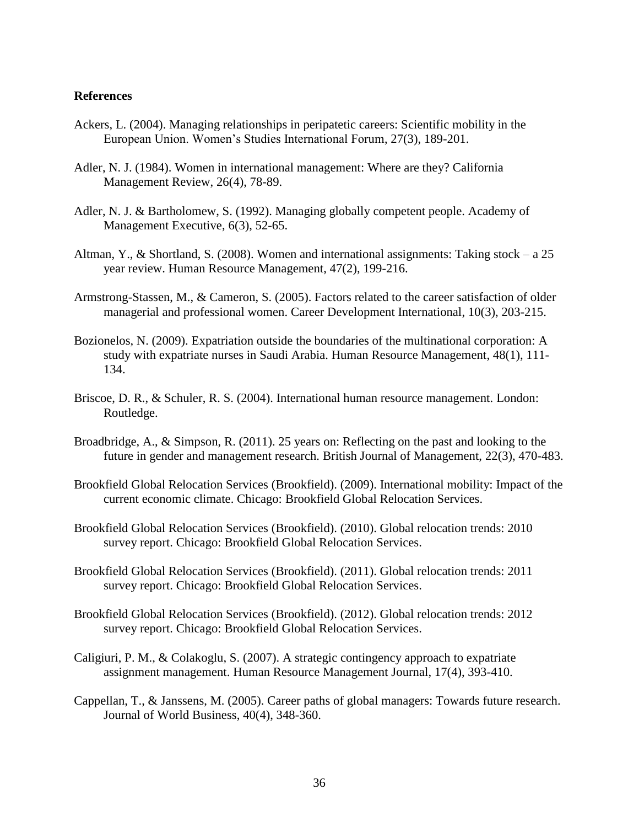#### **References**

- Ackers, L. (2004). Managing relationships in peripatetic careers: Scientific mobility in the European Union. Women's Studies International Forum, 27(3), 189-201.
- Adler, N. J. (1984). Women in international management: Where are they? California Management Review, 26(4), 78-89.
- Adler, N. J. & Bartholomew, S. (1992). Managing globally competent people. Academy of Management Executive, 6(3), 52-65.
- Altman, Y., & Shortland, S. (2008). Women and international assignments: Taking stock a 25 year review. Human Resource Management, 47(2), 199-216.
- Armstrong-Stassen, M., & Cameron, S. (2005). Factors related to the career satisfaction of older managerial and professional women. Career Development International, 10(3), 203-215.
- Bozionelos, N. (2009). Expatriation outside the boundaries of the multinational corporation: A study with expatriate nurses in Saudi Arabia. Human Resource Management, 48(1), 111- 134.
- Briscoe, D. R., & Schuler, R. S. (2004). International human resource management. London: Routledge.
- Broadbridge, A., & Simpson, R. (2011). 25 years on: Reflecting on the past and looking to the future in gender and management research. British Journal of Management, 22(3), 470-483.
- Brookfield Global Relocation Services (Brookfield). (2009). International mobility: Impact of the current economic climate. Chicago: Brookfield Global Relocation Services.
- Brookfield Global Relocation Services (Brookfield). (2010). Global relocation trends: 2010 survey report. Chicago: Brookfield Global Relocation Services.
- Brookfield Global Relocation Services (Brookfield). (2011). Global relocation trends: 2011 survey report. Chicago: Brookfield Global Relocation Services.
- Brookfield Global Relocation Services (Brookfield). (2012). Global relocation trends: 2012 survey report. Chicago: Brookfield Global Relocation Services.
- Caligiuri, P. M., & Colakoglu, S. (2007). A strategic contingency approach to expatriate assignment management. Human Resource Management Journal, 17(4), 393-410.
- Cappellan, T., & Janssens, M. (2005). Career paths of global managers: Towards future research. Journal of World Business, 40(4), 348-360.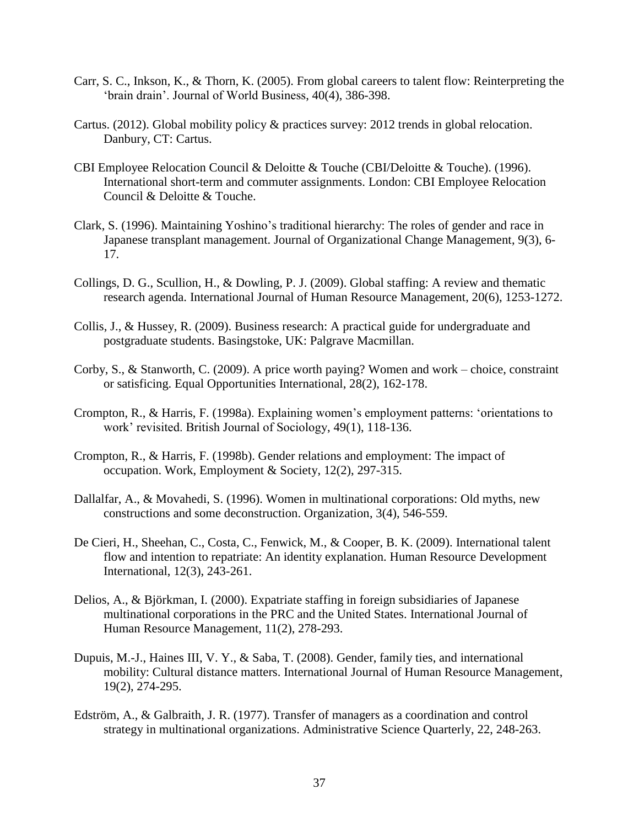- Carr, S. C., Inkson, K., & Thorn, K. (2005). From global careers to talent flow: Reinterpreting the 'brain drain'. Journal of World Business, 40(4), 386-398.
- Cartus. (2012). Global mobility policy & practices survey: 2012 trends in global relocation. Danbury, CT: Cartus.
- CBI Employee Relocation Council & Deloitte & Touche (CBI/Deloitte & Touche). (1996). International short-term and commuter assignments. London: CBI Employee Relocation Council & Deloitte & Touche.
- Clark, S. (1996). Maintaining Yoshino's traditional hierarchy: The roles of gender and race in Japanese transplant management. Journal of Organizational Change Management, 9(3), 6- 17.
- Collings, D. G., Scullion, H., & Dowling, P. J. (2009). Global staffing: A review and thematic research agenda. International Journal of Human Resource Management, 20(6), 1253-1272.
- Collis, J., & Hussey, R. (2009). Business research: A practical guide for undergraduate and postgraduate students. Basingstoke, UK: Palgrave Macmillan.
- Corby, S., & Stanworth, C. (2009). A price worth paying? Women and work choice, constraint or satisficing. Equal Opportunities International, 28(2), 162-178.
- Crompton, R., & Harris, F. (1998a). Explaining women's employment patterns: 'orientations to work' revisited. British Journal of Sociology, 49(1), 118-136.
- Crompton, R., & Harris, F. (1998b). Gender relations and employment: The impact of occupation. Work, Employment & Society, 12(2), 297-315.
- Dallalfar, A., & Movahedi, S. (1996). Women in multinational corporations: Old myths, new constructions and some deconstruction. Organization, 3(4), 546-559.
- De Cieri, H., Sheehan, C., Costa, C., Fenwick, M., & Cooper, B. K. (2009). International talent flow and intention to repatriate: An identity explanation. Human Resource Development International, 12(3), 243-261.
- Delios, A., & Björkman, I. (2000). Expatriate staffing in foreign subsidiaries of Japanese multinational corporations in the PRC and the United States. International Journal of Human Resource Management, 11(2), 278-293.
- Dupuis, M.-J., Haines III, V. Y., & Saba, T. (2008). Gender, family ties, and international mobility: Cultural distance matters. International Journal of Human Resource Management, 19(2), 274-295.
- Edström, A., & Galbraith, J. R. (1977). Transfer of managers as a coordination and control strategy in multinational organizations. Administrative Science Quarterly, 22, 248-263.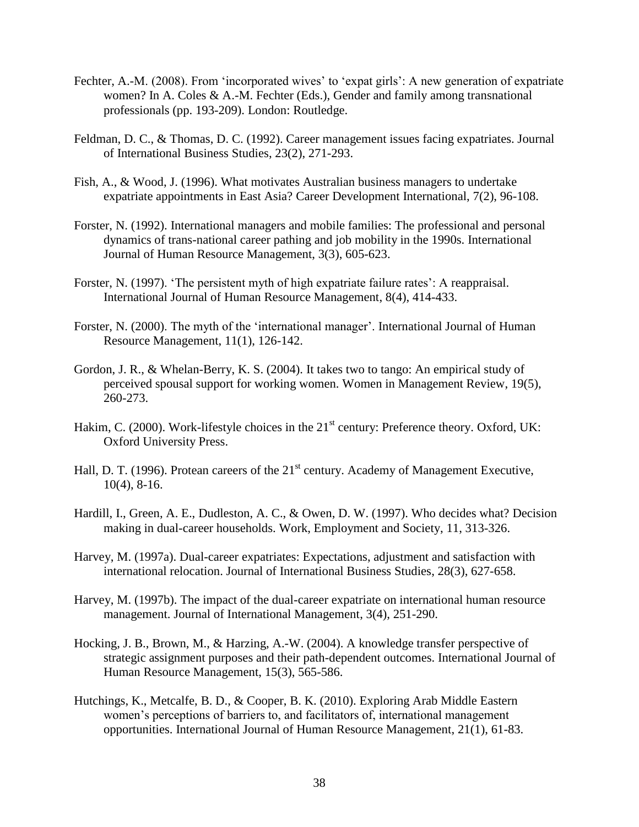- Fechter, A.-M. (2008). From 'incorporated wives' to 'expat girls': A new generation of expatriate women? In A. Coles & A.-M. Fechter (Eds.), Gender and family among transnational professionals (pp. 193-209). London: Routledge.
- Feldman, D. C., & Thomas, D. C. (1992). Career management issues facing expatriates. Journal of International Business Studies, 23(2), 271-293.
- Fish, A., & Wood, J. (1996). What motivates Australian business managers to undertake expatriate appointments in East Asia? Career Development International, 7(2), 96-108.
- Forster, N. (1992). International managers and mobile families: The professional and personal dynamics of trans-national career pathing and job mobility in the 1990s. International Journal of Human Resource Management, 3(3), 605-623.
- Forster, N. (1997). 'The persistent myth of high expatriate failure rates': A reappraisal. International Journal of Human Resource Management, 8(4), 414-433.
- Forster, N. (2000). The myth of the 'international manager'. International Journal of Human Resource Management, 11(1), 126-142.
- Gordon, J. R., & Whelan-Berry, K. S. (2004). It takes two to tango: An empirical study of perceived spousal support for working women. Women in Management Review, 19(5), 260-273.
- Hakim, C. (2000). Work-lifestyle choices in the 21<sup>st</sup> century: Preference theory. Oxford, UK: Oxford University Press.
- Hall, D. T. (1996). Protean careers of the 21<sup>st</sup> century. Academy of Management Executive, 10(4), 8-16.
- Hardill, I., Green, A. E., Dudleston, A. C., & Owen, D. W. (1997). Who decides what? Decision making in dual-career households. Work, Employment and Society, 11, 313-326.
- Harvey, M. (1997a). Dual-career expatriates: Expectations, adjustment and satisfaction with international relocation. Journal of International Business Studies, 28(3), 627-658.
- Harvey, M. (1997b). The impact of the dual-career expatriate on international human resource management. Journal of International Management, 3(4), 251-290.
- Hocking, J. B., Brown, M., & Harzing, A.-W. (2004). A knowledge transfer perspective of strategic assignment purposes and their path-dependent outcomes. International Journal of Human Resource Management, 15(3), 565-586.
- Hutchings, K., Metcalfe, B. D., & Cooper, B. K. (2010). Exploring Arab Middle Eastern women's perceptions of barriers to, and facilitators of, international management opportunities. International Journal of Human Resource Management, 21(1), 61-83.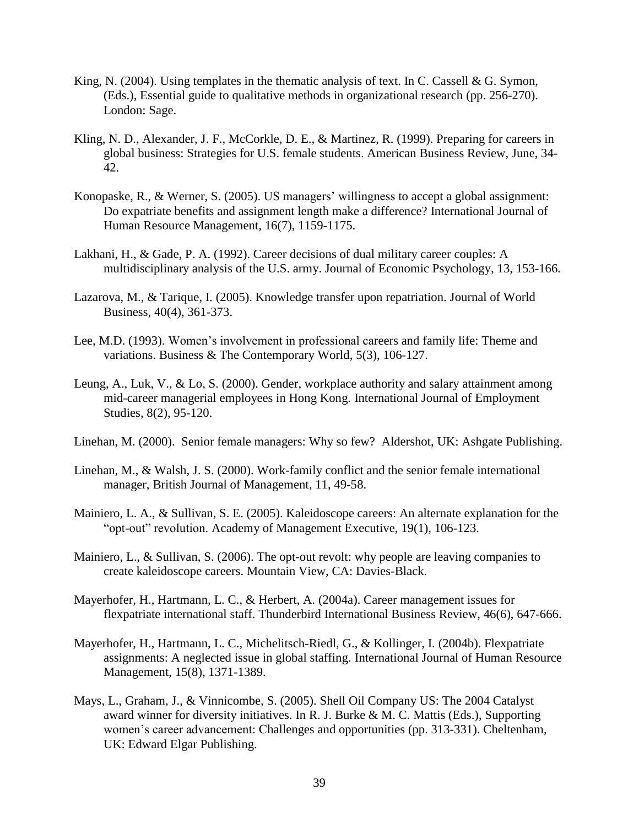- King, N. (2004). Using templates in the thematic analysis of text. In C. Cassell & G. Symon, (Eds.), Essential guide to qualitative methods in organizational research (pp. 256-270). London: Sage.
- Kling, N. D., Alexander, J. F., McCorkle, D. E., & Martinez, R. (1999). Preparing for careers in global business: Strategies for U.S. female students. American Business Review, June, 34- 42.
- Konopaske, R., & Werner, S. (2005). US managers' willingness to accept a global assignment: Do expatriate benefits and assignment length make a difference? International Journal of Human Resource Management, 16(7), 1159-1175.
- Lakhani, H., & Gade, P. A. (1992). Career decisions of dual military career couples: A multidisciplinary analysis of the U.S. army. Journal of Economic Psychology, 13, 153-166.
- Lazarova, M., & Tarique, I. (2005). Knowledge transfer upon repatriation. Journal of World Business, 40(4), 361-373.
- Lee, M.D. (1993). Women's involvement in professional careers and family life: Theme and variations. Business & The Contemporary World, 5(3), 106-127.
- Leung, A., Luk, V., & Lo, S. (2000). Gender, workplace authority and salary attainment among mid-career managerial employees in Hong Kong. International Journal of Employment Studies, 8(2), 95-120.
- Linehan, M. (2000). Senior female managers: Why so few? Aldershot, UK: Ashgate Publishing.
- Linehan, M., & Walsh, J. S. (2000). Work-family conflict and the senior female international manager, British Journal of Management, 11, 49-58.
- Mainiero, L. A., & Sullivan, S. E. (2005). Kaleidoscope careers: An alternate explanation for the "opt-out" revolution. Academy of Management Executive, 19(1), 106-123.
- Mainiero, L., & Sullivan, S. (2006). The opt-out revolt: why people are leaving companies to create kaleidoscope careers. Mountain View, CA: Davies-Black.
- Mayerhofer, H., Hartmann, L. C., & Herbert, A. (2004a). Career management issues for flexpatriate international staff. Thunderbird International Business Review, 46(6), 647-666.
- Mayerhofer, H., Hartmann, L. C., Michelitsch-Riedl, G., & Kollinger, I. (2004b). Flexpatriate assignments: A neglected issue in global staffing. International Journal of Human Resource Management, 15(8), 1371-1389.
- Mays, L., Graham, J., & Vinnicombe, S. (2005). Shell Oil Company US: The 2004 Catalyst award winner for diversity initiatives. In R. J. Burke & M. C. Mattis (Eds.), Supporting women's career advancement: Challenges and opportunities (pp. 313-331). Cheltenham, UK: Edward Elgar Publishing.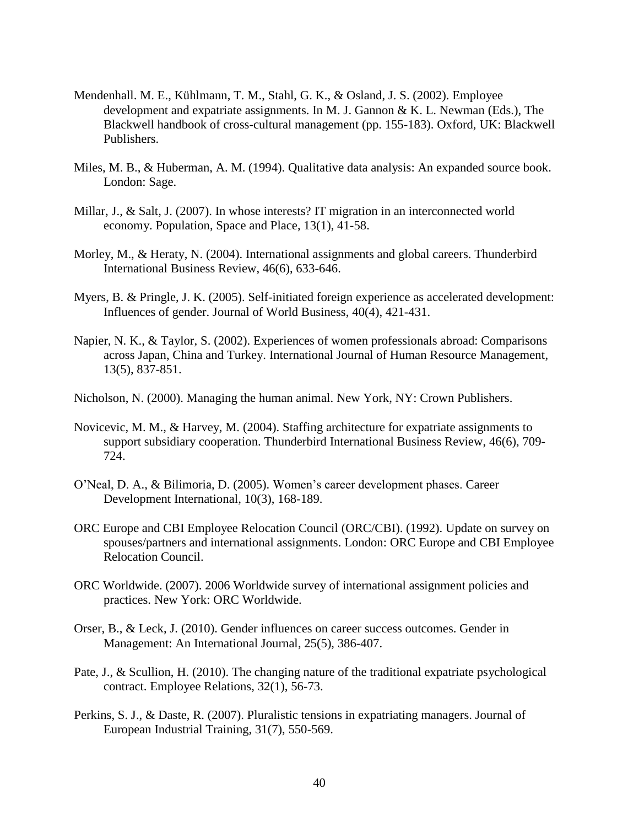- Mendenhall. M. E., Kühlmann, T. M., Stahl, G. K., & Osland, J. S. (2002). Employee development and expatriate assignments. In M. J. Gannon & K. L. Newman (Eds.), The Blackwell handbook of cross-cultural management (pp. 155-183). Oxford, UK: Blackwell Publishers.
- Miles, M. B., & Huberman, A. M. (1994). Qualitative data analysis: An expanded source book. London: Sage.
- Millar, J., & Salt, J. (2007). In whose interests? IT migration in an interconnected world economy. Population, Space and Place, 13(1), 41-58.
- Morley, M., & Heraty, N. (2004). International assignments and global careers. Thunderbird International Business Review, 46(6), 633-646.
- Myers, B. & Pringle, J. K. (2005). Self-initiated foreign experience as accelerated development: Influences of gender. Journal of World Business, 40(4), 421-431.
- Napier, N. K., & Taylor, S. (2002). Experiences of women professionals abroad: Comparisons across Japan, China and Turkey. International Journal of Human Resource Management, 13(5), 837-851.
- Nicholson, N. (2000). Managing the human animal. New York, NY: Crown Publishers.
- Novicevic, M. M., & Harvey, M. (2004). Staffing architecture for expatriate assignments to support subsidiary cooperation. Thunderbird International Business Review, 46(6), 709- 724.
- O'Neal, D. A., & Bilimoria, D. (2005). Women's career development phases. Career Development International, 10(3), 168-189.
- ORC Europe and CBI Employee Relocation Council (ORC/CBI). (1992). Update on survey on spouses/partners and international assignments. London: ORC Europe and CBI Employee Relocation Council.
- ORC Worldwide. (2007). 2006 Worldwide survey of international assignment policies and practices. New York: ORC Worldwide.
- Orser, B., & Leck, J. (2010). Gender influences on career success outcomes. Gender in Management: An International Journal, 25(5), 386-407.
- Pate, J., & Scullion, H. (2010). The changing nature of the traditional expatriate psychological contract. Employee Relations, 32(1), 56-73.
- Perkins, S. J., & Daste, R. (2007). Pluralistic tensions in expatriating managers. Journal of European Industrial Training, 31(7), 550-569.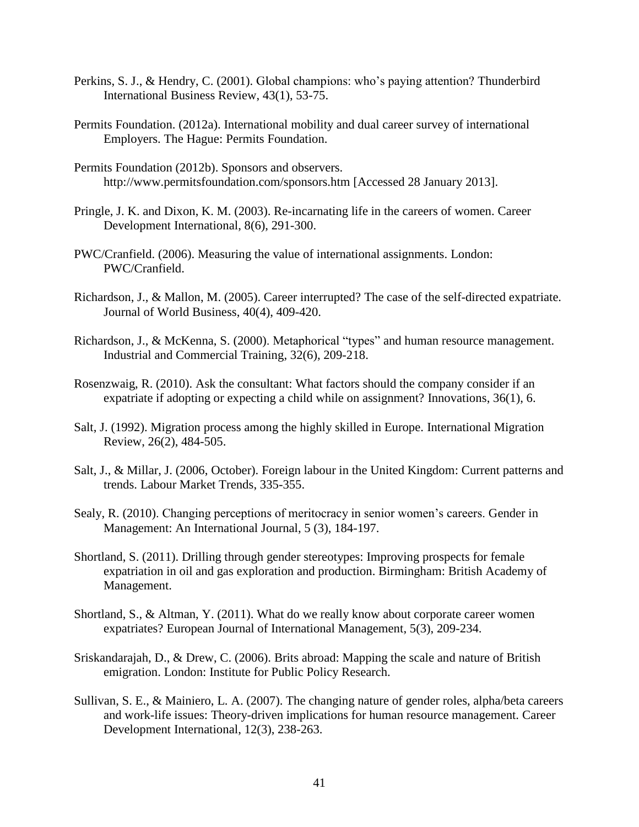- Perkins, S. J., & Hendry, C. (2001). Global champions: who's paying attention? Thunderbird International Business Review, 43(1), 53-75.
- Permits Foundation. (2012a). International mobility and dual career survey of international Employers. The Hague: Permits Foundation.
- Permits Foundation (2012b). Sponsors and observers. http://www.permitsfoundation.com/sponsors.htm [Accessed 28 January 2013].
- Pringle, J. K. and Dixon, K. M. (2003). Re-incarnating life in the careers of women. Career Development International, 8(6), 291-300.
- PWC/Cranfield. (2006). Measuring the value of international assignments. London: PWC/Cranfield.
- Richardson, J., & Mallon, M. (2005). Career interrupted? The case of the self-directed expatriate. Journal of World Business, 40(4), 409-420.
- Richardson, J., & McKenna, S. (2000). Metaphorical "types" and human resource management. Industrial and Commercial Training, 32(6), 209-218.
- Rosenzwaig, R. (2010). Ask the consultant: What factors should the company consider if an expatriate if adopting or expecting a child while on assignment? Innovations, 36(1), 6.
- Salt, J. (1992). Migration process among the highly skilled in Europe. International Migration Review, 26(2), 484-505.
- Salt, J., & Millar, J. (2006, October). Foreign labour in the United Kingdom: Current patterns and trends. Labour Market Trends, 335-355.
- Sealy, R. (2010). Changing perceptions of meritocracy in senior women's careers. Gender in Management: An International Journal, 5 (3), 184-197.
- Shortland, S. (2011). Drilling through gender stereotypes: Improving prospects for female expatriation in oil and gas exploration and production. Birmingham: British Academy of Management.
- Shortland, S., & Altman, Y. (2011). What do we really know about corporate career women expatriates? European Journal of International Management, 5(3), 209-234.
- Sriskandarajah, D., & Drew, C. (2006). Brits abroad: Mapping the scale and nature of British emigration. London: Institute for Public Policy Research.
- Sullivan, S. E., & Mainiero, L. A. (2007). The changing nature of gender roles, alpha/beta careers and work-life issues: Theory-driven implications for human resource management. Career Development International, 12(3), 238-263.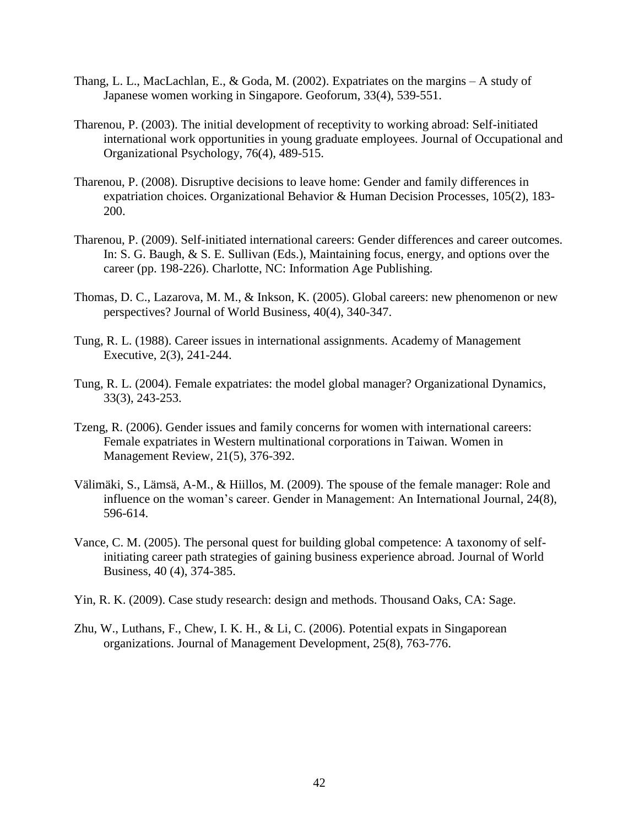- Thang, L. L., MacLachlan, E., & Goda, M. (2002). Expatriates on the margins  $-A$  study of Japanese women working in Singapore. Geoforum, 33(4), 539-551.
- Tharenou, P. (2003). The initial development of receptivity to working abroad: Self-initiated international work opportunities in young graduate employees. Journal of Occupational and Organizational Psychology, 76(4), 489-515.
- Tharenou, P. (2008). Disruptive decisions to leave home: Gender and family differences in expatriation choices. Organizational Behavior & Human Decision Processes, 105(2), 183- 200.
- Tharenou, P. (2009). Self-initiated international careers: Gender differences and career outcomes. In: S. G. Baugh, & S. E. Sullivan (Eds.), Maintaining focus, energy, and options over the career (pp. 198-226). Charlotte, NC: Information Age Publishing.
- Thomas, D. C., Lazarova, M. M., & Inkson, K. (2005). Global careers: new phenomenon or new perspectives? Journal of World Business, 40(4), 340-347.
- Tung, R. L. (1988). Career issues in international assignments. Academy of Management Executive, 2(3), 241-244.
- Tung, R. L. (2004). Female expatriates: the model global manager? Organizational Dynamics, 33(3), 243-253.
- Tzeng, R. (2006). Gender issues and family concerns for women with international careers: Female expatriates in Western multinational corporations in Taiwan. Women in Management Review, 21(5), 376-392.
- Välimäki, S., Lämsä, A-M., & Hiillos, M. (2009). The spouse of the female manager: Role and influence on the woman's career. Gender in Management: An International Journal, 24(8), 596-614.
- Vance, C. M. (2005). The personal quest for building global competence: A taxonomy of selfinitiating career path strategies of gaining business experience abroad. Journal of World Business, 40 (4), 374-385.
- Yin, R. K. (2009). Case study research: design and methods. Thousand Oaks, CA: Sage.
- Zhu, W., Luthans, F., Chew, I. K. H., & Li, C. (2006). Potential expats in Singaporean organizations. Journal of Management Development, 25(8), 763-776.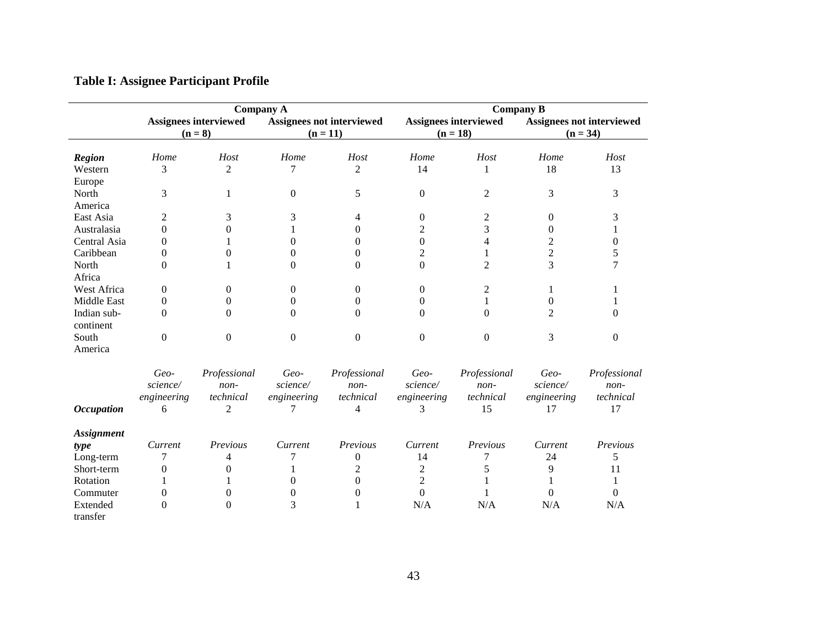| <b>Company A</b>  |                  |                              |                  |                           | <b>Company B</b> |                              |                |                           |
|-------------------|------------------|------------------------------|------------------|---------------------------|------------------|------------------------------|----------------|---------------------------|
|                   |                  | <b>Assignees interviewed</b> |                  | Assignees not interviewed |                  | <b>Assignees interviewed</b> |                | Assignees not interviewed |
|                   |                  | $(n=8)$                      |                  | $(n = 11)$                |                  | $(n = 18)$                   |                | $(n = 34)$                |
| <b>Region</b>     | Home             | Host                         | Home             | Host                      | Home             | Host                         | Home           | Host                      |
| Western           | 3                | 2                            | 7                | $\mathfrak{2}$            | 14               | 1                            | 18             | 13                        |
| Europe            |                  |                              |                  |                           |                  |                              |                |                           |
| North             | 3                | 1                            | $\theta$         | 5                         | $\overline{0}$   | $\overline{2}$               | 3              | 3                         |
| America           |                  |                              |                  |                           |                  |                              |                |                           |
| East Asia         | 2                | 3                            | 3                | 4                         | $\mathbf{0}$     | 2                            | 0              | 3                         |
| Australasia       | $\Omega$         | $\Omega$                     |                  | $\Omega$                  | $\mathbf{2}$     | 3                            | 0              |                           |
| Central Asia      | $\Omega$         |                              | $\Omega$         | $\Omega$                  | $\boldsymbol{0}$ | 4                            | $\overline{c}$ | $\mathbf{0}$              |
| Caribbean         | $\theta$         | $\Omega$                     | $\theta$         | $\mathbf{0}$              | $\overline{2}$   |                              | $\overline{c}$ | 5                         |
| North             | $\boldsymbol{0}$ |                              | $\theta$         | $\mathbf{0}$              | $\boldsymbol{0}$ | $\overline{c}$               | 3              | $\overline{7}$            |
| Africa            |                  |                              |                  |                           |                  |                              |                |                           |
| West Africa       | $\theta$         | $\mathbf{0}$                 | $\theta$         | $\mathbf{0}$              | $\overline{0}$   | $\mathbf{2}$                 | 1              |                           |
| Middle East       | $\Omega$         | $\Omega$                     | $\Omega$         | $\Omega$                  | $\Omega$         | 1                            | $\theta$       |                           |
| Indian sub-       | $\Omega$         | $\Omega$                     | $\Omega$         | $\Omega$                  | $\Omega$         | $\Omega$                     | $\overline{c}$ | $\Omega$                  |
| continent         |                  |                              |                  |                           |                  |                              |                |                           |
| South             | $\Omega$         | $\overline{0}$               | $\boldsymbol{0}$ | $\Omega$                  | $\mathbf{0}$     | $\mathbf{0}$                 | 3              | $\overline{0}$            |
| America           |                  |                              |                  |                           |                  |                              |                |                           |
|                   |                  |                              |                  |                           |                  |                              |                |                           |
|                   | Geo-             | Professional                 | Geo-             | Professional              | Geo-             | Professional                 | Geo-           | Professional              |
|                   | science/         | $non-$                       | science/         | non-                      | science/         | $non-$                       | science/       | non-                      |
|                   | engineering      | technical                    | engineering      | technical                 | engineering      | technical                    | engineering    | technical                 |
| <b>Occupation</b> | 6                | $\overline{2}$               | 7                | 4                         | 3                | 15                           | 17             | 17                        |
| <b>Assignment</b> |                  |                              |                  |                           |                  |                              |                |                           |
| type              | Current          | Previous                     | Current          | Previous                  | Current          | Previous                     | Current        | Previous                  |
| Long-term         | 7                | 4                            | 7                | $\boldsymbol{0}$          | 14               | 7                            | 24             | 5                         |
| Short-term        | $\overline{0}$   | $\mathbf{0}$                 | 1                | $\mathfrak 2$             | $\overline{c}$   | 5                            | 9              | 11                        |
| Rotation          | 1                |                              | $\boldsymbol{0}$ | $\mathbf{0}$              | $\sqrt{2}$       |                              |                |                           |
| Commuter          | $\overline{0}$   | $\mathbf{0}$                 | $\boldsymbol{0}$ | $\mathbf{0}$              | $\mathbf{0}$     |                              | 0              | $\mathbf{0}$              |
| Extended          | $\theta$         | $\Omega$                     | 3                |                           | N/A              | N/A                          | N/A            | N/A                       |
| transfer          |                  |                              |                  |                           |                  |                              |                |                           |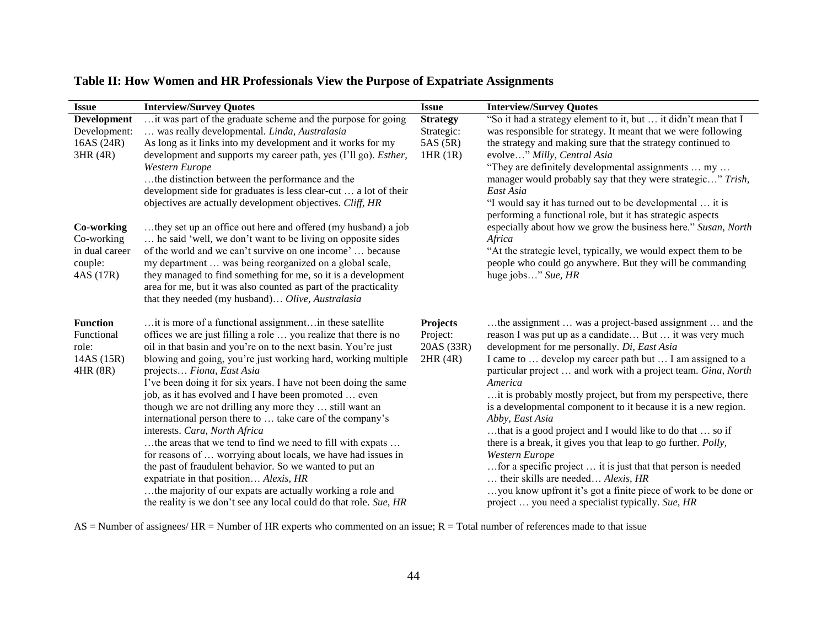| Table II: How Women and HR Professionals View the Purpose of Expatriate Assignments |  |  |  |
|-------------------------------------------------------------------------------------|--|--|--|
|                                                                                     |  |  |  |

| <b>Issue</b>                                                       | <b>Interview/Survey Quotes</b>                                                                                                                                                                                                                                                                                                                                                                                                                                                                                                                                                                                                                                                                                                                                                                                                                                                                                                                           | <b>Issue</b>                                         | <b>Interview/Survey Quotes</b>                                                                                                                                                                                                                                                                                                                                                                                                                                                                                                                                                                                                                                                                                                                                                                                                                    |
|--------------------------------------------------------------------|----------------------------------------------------------------------------------------------------------------------------------------------------------------------------------------------------------------------------------------------------------------------------------------------------------------------------------------------------------------------------------------------------------------------------------------------------------------------------------------------------------------------------------------------------------------------------------------------------------------------------------------------------------------------------------------------------------------------------------------------------------------------------------------------------------------------------------------------------------------------------------------------------------------------------------------------------------|------------------------------------------------------|---------------------------------------------------------------------------------------------------------------------------------------------------------------------------------------------------------------------------------------------------------------------------------------------------------------------------------------------------------------------------------------------------------------------------------------------------------------------------------------------------------------------------------------------------------------------------------------------------------------------------------------------------------------------------------------------------------------------------------------------------------------------------------------------------------------------------------------------------|
| <b>Development</b><br>Development:<br>16AS (24R)<br>3HR(4R)        | it was part of the graduate scheme and the purpose for going<br>was really developmental. Linda, Australasia<br>As long as it links into my development and it works for my<br>development and supports my career path, yes (I'll go). Esther,<br>Western Europe<br>the distinction between the performance and the<br>development side for graduates is less clear-cut  a lot of their<br>objectives are actually development objectives. Cliff, HR                                                                                                                                                                                                                                                                                                                                                                                                                                                                                                     | <b>Strategy</b><br>Strategic:<br>5AS (5R)<br>1HR(1R) | "So it had a strategy element to it, but  it didn't mean that I<br>was responsible for strategy. It meant that we were following<br>the strategy and making sure that the strategy continued to<br>evolve" Milly, Central Asia<br>"They are definitely developmental assignments  my<br>manager would probably say that they were strategic" Trish,<br>East Asia<br>"I would say it has turned out to be developmental  it is<br>performing a functional role, but it has strategic aspects                                                                                                                                                                                                                                                                                                                                                       |
| Co-working<br>Co-working<br>in dual career<br>couple:<br>4AS (17R) | they set up an office out here and offered (my husband) a job<br>he said 'well, we don't want to be living on opposite sides<br>of the world and we can't survive on one income' because<br>my department  was being reorganized on a global scale,<br>they managed to find something for me, so it is a development<br>area for me, but it was also counted as part of the practicality<br>that they needed (my husband) Olive, Australasia                                                                                                                                                                                                                                                                                                                                                                                                                                                                                                             |                                                      | especially about how we grow the business here." Susan, North<br>Africa<br>"At the strategic level, typically, we would expect them to be<br>people who could go anywhere. But they will be commanding<br>huge jobs" Sue, HR                                                                                                                                                                                                                                                                                                                                                                                                                                                                                                                                                                                                                      |
| <b>Function</b><br>Functional<br>role:<br>14AS (15R)<br>4HR (8R)   | it is more of a functional assignment in these satellite<br>offices we are just filling a role  you realize that there is no<br>oil in that basin and you're on to the next basin. You're just<br>blowing and going, you're just working hard, working multiple<br>projects Fiona, East Asia<br>I've been doing it for six years. I have not been doing the same<br>job, as it has evolved and I have been promoted  even<br>though we are not drilling any more they  still want an<br>international person there to  take care of the company's<br>interests. Cara, North Africa<br>the areas that we tend to find we need to fill with expats<br>for reasons of  worrying about locals, we have had issues in<br>the past of fraudulent behavior. So we wanted to put an<br>expatriate in that position Alexis, HR<br>the majority of our expats are actually working a role and<br>the reality is we don't see any local could do that role. Sue, HR | Projects<br>Project:<br>20AS (33R)<br>2HR(4R)        | the assignment  was a project-based assignment  and the<br>reason I was put up as a candidate But  it was very much<br>development for me personally. Di, East Asia<br>I came to  develop my career path but  I am assigned to a<br>particular project  and work with a project team. Gina, North<br>America<br>it is probably mostly project, but from my perspective, there<br>is a developmental component to it because it is a new region.<br>Abby, East Asia<br>that is a good project and I would like to do that  so if<br>there is a break, it gives you that leap to go further. Polly,<br>Western Europe<br>for a specific project  it is just that that person is needed<br>their skills are needed Alexis, HR<br>you know upfront it's got a finite piece of work to be done or<br>project  you need a specialist typically. Sue, HR |

 $AS =$  Number of assignees/  $HR =$  Number of HR experts who commented on an issue;  $R =$  Total number of references made to that issue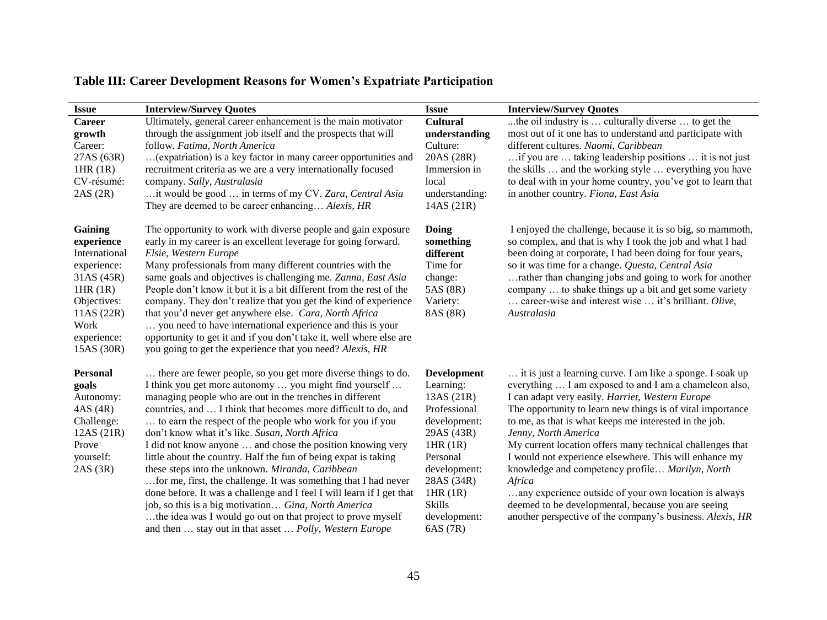# **Table III: Career Development Reasons for Women's Expatriate Participation**

| <b>Issue</b>                                                                                                                                     | <b>Interview/Survey Quotes</b>                                                                                                                                                                                                                                                                                                                                                                                                                                                                                                                                                                                                                                                                                                                                                                                                                                                          | <b>Issue</b>                                                                                                                                                                                             | <b>Interview/Survey Quotes</b>                                                                                                                                                                                                                                                                                                                                                                                                                                                                                                                                                                                                                                                           |
|--------------------------------------------------------------------------------------------------------------------------------------------------|-----------------------------------------------------------------------------------------------------------------------------------------------------------------------------------------------------------------------------------------------------------------------------------------------------------------------------------------------------------------------------------------------------------------------------------------------------------------------------------------------------------------------------------------------------------------------------------------------------------------------------------------------------------------------------------------------------------------------------------------------------------------------------------------------------------------------------------------------------------------------------------------|----------------------------------------------------------------------------------------------------------------------------------------------------------------------------------------------------------|------------------------------------------------------------------------------------------------------------------------------------------------------------------------------------------------------------------------------------------------------------------------------------------------------------------------------------------------------------------------------------------------------------------------------------------------------------------------------------------------------------------------------------------------------------------------------------------------------------------------------------------------------------------------------------------|
| <b>Career</b><br>growth<br>Career:<br>27AS (63R)<br>1HR(1R)<br>CV-résumé:<br>2AS(2R)                                                             | Ultimately, general career enhancement is the main motivator<br>through the assignment job itself and the prospects that will<br>follow. Fatima, North America<br>(expatriation) is a key factor in many career opportunities and<br>recruitment criteria as we are a very internationally focused<br>company. Sally, Australasia<br>it would be good  in terms of my CV. Zara, Central Asia<br>They are deemed to be career enhancing Alexis, HR                                                                                                                                                                                                                                                                                                                                                                                                                                       | <b>Cultural</b><br>understanding<br>Culture:<br>20AS (28R)<br>Immersion in<br>local<br>understanding:<br>14AS (21R)                                                                                      | the oil industry is  culturally diverse  to get the<br>most out of it one has to understand and participate with<br>different cultures. Naomi, Caribbean<br>if you are  taking leadership positions  it is not just<br>the skills  and the working style  everything you have<br>to deal with in your home country, you've got to learn that<br>in another country. Fiona, East Asia                                                                                                                                                                                                                                                                                                     |
| Gaining<br>experience<br>International<br>experience:<br>31AS (45R)<br>1HR(1R)<br>Objectives:<br>11AS (22R)<br>Work<br>experience:<br>15AS (30R) | The opportunity to work with diverse people and gain exposure<br>early in my career is an excellent leverage for going forward.<br>Elsie, Western Europe<br>Many professionals from many different countries with the<br>same goals and objectives is challenging me. Zanna, East Asia<br>People don't know it but it is a bit different from the rest of the<br>company. They don't realize that you get the kind of experience<br>that you'd never get anywhere else. Cara, North Africa<br>you need to have international experience and this is your<br>opportunity to get it and if you don't take it, well where else are<br>you going to get the experience that you need? Alexis, HR                                                                                                                                                                                            | Doing<br>something<br>different<br>Time for<br>change:<br>5AS (8R)<br>Variety:<br>8AS (8R)                                                                                                               | I enjoyed the challenge, because it is so big, so mammoth,<br>so complex, and that is why I took the job and what I had<br>been doing at corporate, I had been doing for four years,<br>so it was time for a change. Questa, Central Asia<br>rather than changing jobs and going to work for another<br>company  to shake things up a bit and get some variety<br>career-wise and interest wise  it's brilliant. Olive,<br>Australasia                                                                                                                                                                                                                                                   |
| <b>Personal</b><br>goals<br>Autonomy:<br>4AS(4R)<br>Challenge:<br>12AS (21R)<br>Prove<br>yourself:<br>2AS(3R)                                    | there are fewer people, so you get more diverse things to do.<br>I think you get more autonomy  you might find yourself<br>managing people who are out in the trenches in different<br>countries, and  I think that becomes more difficult to do, and<br>to earn the respect of the people who work for you if you<br>don't know what it's like. Susan, North Africa<br>I did not know anyone  and chose the position knowing very<br>little about the country. Half the fun of being expat is taking<br>these steps into the unknown. Miranda, Caribbean<br>for me, first, the challenge. It was something that I had never<br>done before. It was a challenge and I feel I will learn if I get that<br>job, so this is a big motivation Gina, North America<br>the idea was I would go out on that project to prove myself<br>and then  stay out in that asset  Polly, Western Europe | <b>Development</b><br>Learning:<br>13AS (21R)<br>Professional<br>development:<br>29AS (43R)<br>1HR(1R)<br>Personal<br>development:<br>28AS (34R)<br>1HR(1R)<br><b>Skills</b><br>development:<br>6AS (7R) | it is just a learning curve. I am like a sponge. I soak up<br>everything  I am exposed to and I am a chameleon also,<br>I can adapt very easily. Harriet, Western Europe<br>The opportunity to learn new things is of vital importance<br>to me, as that is what keeps me interested in the job.<br>Jenny, North America<br>My current location offers many technical challenges that<br>I would not experience elsewhere. This will enhance my<br>knowledge and competency profile Marilyn, North<br>Africa<br>any experience outside of your own location is always<br>deemed to be developmental, because you are seeing<br>another perspective of the company's business. Alexis, HR |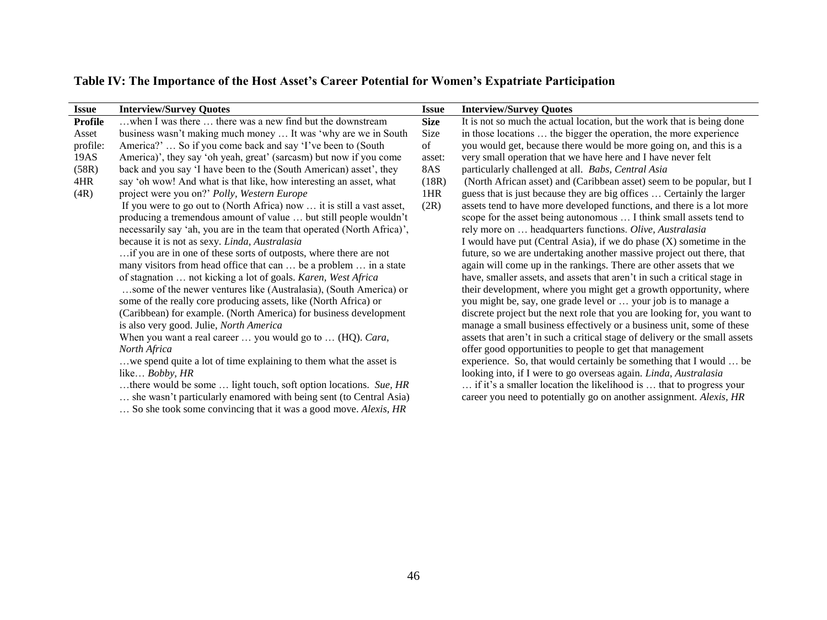# **Table IV: The Importance of the Host Asset's Career Potential for Women's Expatriate Participation**

| <b>Issue</b>   | <b>Interview/Survey Quotes</b>                                          | <b>Issue</b> | <b>Interview/Survey Quotes</b>                                              |
|----------------|-------------------------------------------------------------------------|--------------|-----------------------------------------------------------------------------|
| <b>Profile</b> | when I was there  there was a new find but the downstream               | <b>Size</b>  | It is not so much the actual location, but the work that is being done      |
| Asset          | business wasn't making much money  It was 'why are we in South          | Size         | in those locations  the bigger the operation, the more experience           |
| profile:       | America?'  So if you come back and say 'I've been to (South             | of           | you would get, because there would be more going on, and this is a          |
| 19AS           | America)', they say 'oh yeah, great' (sarcasm) but now if you come      | asset:       | very small operation that we have here and I have never felt                |
| (58R)          | back and you say 'I have been to the (South American) asset', they      | 8AS          | particularly challenged at all. Babs, Central Asia                          |
| 4HR            | say 'oh wow! And what is that like, how interesting an asset, what      | (18R)        | (North African asset) and (Caribbean asset) seem to be popular, but I       |
| (4R)           | project were you on?' Polly, Western Europe                             | 1HR          | guess that is just because they are big offices  Certainly the larger       |
|                | If you were to go out to (North Africa) now  it is still a vast asset,  | (2R)         | assets tend to have more developed functions, and there is a lot more       |
|                | producing a tremendous amount of value  but still people wouldn't       |              | scope for the asset being autonomous  I think small assets tend to          |
|                | necessarily say 'ah, you are in the team that operated (North Africa)', |              | rely more on  headquarters functions. Olive, Australasia                    |
|                | because it is not as sexy. Linda, Australasia                           |              | I would have put (Central Asia), if we do phase (X) sometime in the         |
|                | if you are in one of these sorts of outposts, where there are not       |              | future, so we are undertaking another massive project out there, that       |
|                | many visitors from head office that can  be a problem  in a state       |              | again will come up in the rankings. There are other assets that we          |
|                | of stagnation  not kicking a lot of goals. Karen, West Africa           |              | have, smaller assets, and assets that aren't in such a critical stage in    |
|                | some of the newer ventures like (Australasia), (South America) or       |              | their development, where you might get a growth opportunity, where          |
|                | some of the really core producing assets, like (North Africa) or        |              | you might be, say, one grade level or  your job is to manage a              |
|                | (Caribbean) for example. (North America) for business development       |              | discrete project but the next role that you are looking for, you want to    |
|                | is also very good. Julie, North America                                 |              | manage a small business effectively or a business unit, some of these       |
|                | When you want a real career  you would go to  (HQ). Cara,               |              | assets that aren't in such a critical stage of delivery or the small assets |
|                | North Africa                                                            |              | offer good opportunities to people to get that management                   |
|                | we spend quite a lot of time explaining to them what the asset is       |              | experience. So, that would certainly be something that I would  be          |
|                | like <i>Bobby</i> , <i>HR</i>                                           |              | looking into, if I were to go overseas again. Linda, Australasia            |
|                | there would be some  light touch, soft option locations. Sue, HR        |              | if it's a smaller location the likelihood is  that to progress your         |
|                | she wasn't particularly enamored with being sent (to Central Asia)      |              | career you need to potentially go on another assignment. Alexis, HR         |
|                | So she took some convincing that it was a good move. Alexis, HR         |              |                                                                             |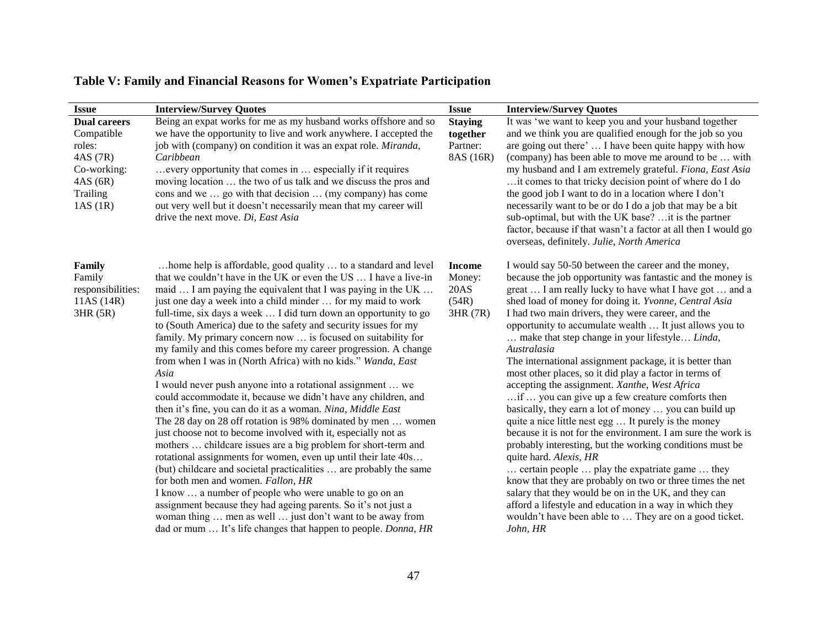# **Table V: Family and Financial Reasons for Women's Expatriate Participation**

| <b>Issue</b>                                                                                             | <b>Interview/Survey Quotes</b>                                                                                                                                                                                                                                                                                                                                                                                                                                                                                                                                                                                                                                                                                                                                                                                                                                                                                                                                                                                                                                                                                                                                                                                                                                                                                                                                                                                                                                   | <b>Issue</b>                                         | <b>Interview/Survey Quotes</b>                                                                                                                                                                                                                                                                                                                                                                                                                                                                                                                                                                                                                                                                                                                                                                                                                                                                                                                                                                                                                                                                                                                                                                                                  |
|----------------------------------------------------------------------------------------------------------|------------------------------------------------------------------------------------------------------------------------------------------------------------------------------------------------------------------------------------------------------------------------------------------------------------------------------------------------------------------------------------------------------------------------------------------------------------------------------------------------------------------------------------------------------------------------------------------------------------------------------------------------------------------------------------------------------------------------------------------------------------------------------------------------------------------------------------------------------------------------------------------------------------------------------------------------------------------------------------------------------------------------------------------------------------------------------------------------------------------------------------------------------------------------------------------------------------------------------------------------------------------------------------------------------------------------------------------------------------------------------------------------------------------------------------------------------------------|------------------------------------------------------|---------------------------------------------------------------------------------------------------------------------------------------------------------------------------------------------------------------------------------------------------------------------------------------------------------------------------------------------------------------------------------------------------------------------------------------------------------------------------------------------------------------------------------------------------------------------------------------------------------------------------------------------------------------------------------------------------------------------------------------------------------------------------------------------------------------------------------------------------------------------------------------------------------------------------------------------------------------------------------------------------------------------------------------------------------------------------------------------------------------------------------------------------------------------------------------------------------------------------------|
| <b>Dual careers</b><br>Compatible<br>roles:<br>4AS (7R)<br>Co-working:<br>4AS(6R)<br>Trailing<br>1AS(1R) | Being an expat works for me as my husband works offshore and so<br>we have the opportunity to live and work anywhere. I accepted the<br>job with (company) on condition it was an expat role. Miranda,<br>Caribbean<br>every opportunity that comes in  especially if it requires<br>moving location  the two of us talk and we discuss the pros and<br>cons and we  go with that decision  (my company) has come<br>out very well but it doesn't necessarily mean that my career will<br>drive the next move. Di, East Asia                                                                                                                                                                                                                                                                                                                                                                                                                                                                                                                                                                                                                                                                                                                                                                                                                                                                                                                                     | <b>Staying</b><br>together<br>Partner:<br>8AS (16R)  | It was 'we want to keep you and your husband together<br>and we think you are qualified enough for the job so you<br>are going out there' I have been quite happy with how<br>(company) has been able to move me around to be  with<br>my husband and I am extremely grateful. Fiona, East Asia<br>it comes to that tricky decision point of where do I do<br>the good job I want to do in a location where I don't<br>necessarily want to be or do I do a job that may be a bit<br>sub-optimal, but with the UK base?  it is the partner<br>factor, because if that wasn't a factor at all then I would go<br>overseas, definitely. Julie, North America                                                                                                                                                                                                                                                                                                                                                                                                                                                                                                                                                                       |
| Family<br>Family<br>responsibilities:<br>11AS (14R)<br>3HR (5R)                                          | home help is affordable, good quality  to a standard and level<br>that we couldn't have in the UK or even the US  I have a live-in<br>maid  I am paying the equivalent that I was paying in the UK<br>just one day a week into a child minder  for my maid to work<br>full-time, six days a week  I did turn down an opportunity to go<br>to (South America) due to the safety and security issues for my<br>family. My primary concern now  is focused on suitability for<br>my family and this comes before my career progression. A change<br>from when I was in (North Africa) with no kids." Wanda, East<br>Asia<br>I would never push anyone into a rotational assignment  we<br>could accommodate it, because we didn't have any children, and<br>then it's fine, you can do it as a woman. Nina, Middle East<br>The 28 day on 28 off rotation is 98% dominated by men  women<br>just choose not to become involved with it, especially not as<br>mothers  childcare issues are a big problem for short-term and<br>rotational assignments for women, even up until their late 40s<br>(but) childcare and societal practicalities  are probably the same<br>for both men and women. Fallon, HR<br>I know  a number of people who were unable to go on an<br>assignment because they had ageing parents. So it's not just a<br>woman thing  men as well  just don't want to be away from<br>dad or mum  It's life changes that happen to people. Donna, HR | <b>Income</b><br>Money:<br>20AS<br>(54R)<br>3HR (7R) | I would say 50-50 between the career and the money,<br>because the job opportunity was fantastic and the money is<br>great  I am really lucky to have what I have got  and a<br>shed load of money for doing it. Yvonne, Central Asia<br>I had two main drivers, they were career, and the<br>opportunity to accumulate wealth  It just allows you to<br>make that step change in your lifestyle Linda,<br>Australasia<br>The international assignment package, it is better than<br>most other places, so it did play a factor in terms of<br>accepting the assignment. Xanthe, West Africa<br>if  you can give up a few creature comforts then<br>basically, they earn a lot of money  you can build up<br>quite a nice little nest egg  It purely is the money<br>because it is not for the environment. I am sure the work is<br>probably interesting, but the working conditions must be<br>quite hard. Alexis, HR<br>certain people  play the expatriate game  they<br>know that they are probably on two or three times the net<br>salary that they would be on in the UK, and they can<br>afford a lifestyle and education in a way in which they<br>wouldn't have been able to  They are on a good ticket.<br>John, HR |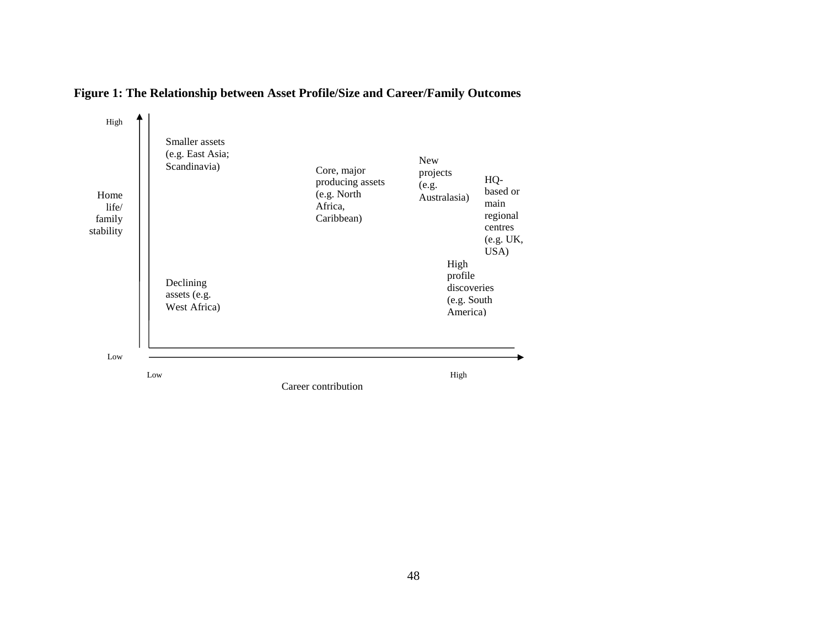

**Figure 1: The Relationship between Asset Profile/Size and Career/Family Outcomes**